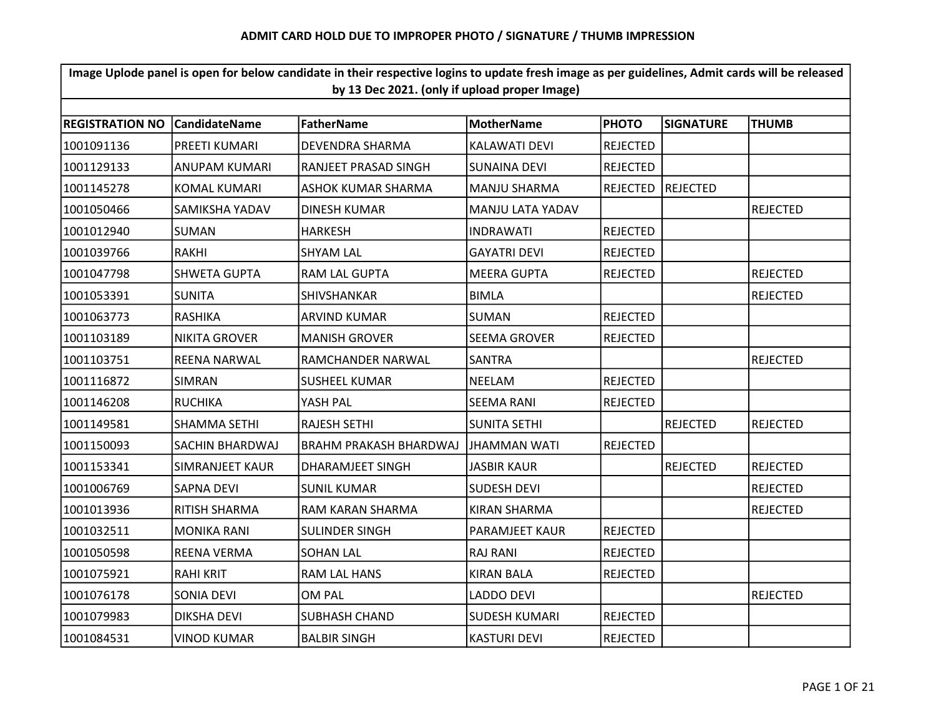| Image Uplode panel is open for below candidate in their respective logins to update fresh image as per guidelines, Admit cards will be released<br>by 13 Dec 2021. (only if upload proper Image) |                      |                           |                      |                 |                 |                 |  |  |  |
|--------------------------------------------------------------------------------------------------------------------------------------------------------------------------------------------------|----------------------|---------------------------|----------------------|-----------------|-----------------|-----------------|--|--|--|
| <b>FatherName</b><br><b>MotherName</b><br><b>PHOTO</b><br><b>REGISTRATION NO</b><br>l Candidate Name<br><b>SIGNATURE</b><br><b>THUMB</b>                                                         |                      |                           |                      |                 |                 |                 |  |  |  |
| 1001091136                                                                                                                                                                                       | PREETI KUMARI        | DEVENDRA SHARMA           | <b>KALAWATI DEVI</b> | <b>REJECTED</b> |                 |                 |  |  |  |
|                                                                                                                                                                                                  |                      |                           |                      |                 |                 |                 |  |  |  |
| 1001129133                                                                                                                                                                                       | ANUPAM KUMARI        | RANJEET PRASAD SINGH      | <b>SUNAINA DEVI</b>  | <b>REJECTED</b> |                 |                 |  |  |  |
| 1001145278                                                                                                                                                                                       | <b>KOMAL KUMARI</b>  | <b>ASHOK KUMAR SHARMA</b> | <b>MANJU SHARMA</b>  | <b>REJECTED</b> | REJECTED        |                 |  |  |  |
| 1001050466                                                                                                                                                                                       | SAMIKSHA YADAV       | DINESH KUMAR              | MANJU LATA YADAV     |                 |                 | <b>REJECTED</b> |  |  |  |
| 1001012940                                                                                                                                                                                       | SUMAN                | <b>HARKESH</b>            | <b>INDRAWATI</b>     | <b>REJECTED</b> |                 |                 |  |  |  |
| 1001039766                                                                                                                                                                                       | <b>RAKHI</b>         | <b>SHYAM LAL</b>          | <b>GAYATRI DEVI</b>  | <b>REJECTED</b> |                 |                 |  |  |  |
| 1001047798                                                                                                                                                                                       | <b>SHWETA GUPTA</b>  | RAM LAL GUPTA             | <b>MEERA GUPTA</b>   | <b>REJECTED</b> |                 | <b>REJECTED</b> |  |  |  |
| 1001053391                                                                                                                                                                                       | <b>SUNITA</b>        | <b>SHIVSHANKAR</b>        | <b>BIMLA</b>         |                 |                 | <b>REJECTED</b> |  |  |  |
| 1001063773                                                                                                                                                                                       | <b>RASHIKA</b>       | <b>ARVIND KUMAR</b>       | <b>SUMAN</b>         | <b>REJECTED</b> |                 |                 |  |  |  |
| 1001103189                                                                                                                                                                                       | <b>NIKITA GROVER</b> | <b>MANISH GROVER</b>      | <b>SEEMA GROVER</b>  | <b>REJECTED</b> |                 |                 |  |  |  |
| 1001103751                                                                                                                                                                                       | <b>REENA NARWAL</b>  | RAMCHANDER NARWAL         | <b>SANTRA</b>        |                 |                 | <b>REJECTED</b> |  |  |  |
| 1001116872                                                                                                                                                                                       | <b>SIMRAN</b>        | <b>SUSHEEL KUMAR</b>      | <b>NEELAM</b>        | <b>REJECTED</b> |                 |                 |  |  |  |
| 1001146208                                                                                                                                                                                       | <b>RUCHIKA</b>       | YASH PAL                  | <b>SEEMA RANI</b>    | <b>REJECTED</b> |                 |                 |  |  |  |
| 1001149581                                                                                                                                                                                       | SHAMMA SETHI         | <b>RAJESH SETHI</b>       | <b>SUNITA SETHI</b>  |                 | <b>REJECTED</b> | <b>REJECTED</b> |  |  |  |
| 1001150093                                                                                                                                                                                       | SACHIN BHARDWAJ      | BRAHM PRAKASH BHARDWAJ    | JHAMMAN WATI         | <b>REJECTED</b> |                 |                 |  |  |  |
| 1001153341                                                                                                                                                                                       | SIMRANJEET KAUR      | DHARAMJEET SINGH          | <b>JASBIR KAUR</b>   |                 | <b>REJECTED</b> | <b>REJECTED</b> |  |  |  |
| 1001006769                                                                                                                                                                                       | SAPNA DEVI           | <b>SUNIL KUMAR</b>        | SUDESH DEVI          |                 |                 | <b>REJECTED</b> |  |  |  |
| 1001013936                                                                                                                                                                                       | <b>RITISH SHARMA</b> | RAM KARAN SHARMA          | KIRAN SHARMA         |                 |                 | <b>REJECTED</b> |  |  |  |
| 1001032511                                                                                                                                                                                       | <b>MONIKA RANI</b>   | <b>SULINDER SINGH</b>     | PARAMJEET KAUR       | <b>REJECTED</b> |                 |                 |  |  |  |
| 1001050598                                                                                                                                                                                       | <b>REENA VERMA</b>   | <b>SOHAN LAL</b>          | <b>RAJ RANI</b>      | <b>REJECTED</b> |                 |                 |  |  |  |
| 1001075921                                                                                                                                                                                       | RAHI KRIT            | RAM LAL HANS              | KIRAN BALA           | <b>REJECTED</b> |                 |                 |  |  |  |
| 1001076178                                                                                                                                                                                       | <b>SONIA DEVI</b>    | OM PAL                    | <b>LADDO DEVI</b>    |                 |                 | <b>REJECTED</b> |  |  |  |
| 1001079983                                                                                                                                                                                       | <b>DIKSHA DEVI</b>   | <b>SUBHASH CHAND</b>      | <b>SUDESH KUMARI</b> | <b>REJECTED</b> |                 |                 |  |  |  |
| 1001084531                                                                                                                                                                                       | <b>VINOD KUMAR</b>   | <b>BALBIR SINGH</b>       | <b>KASTURI DEVI</b>  | REJECTED        |                 |                 |  |  |  |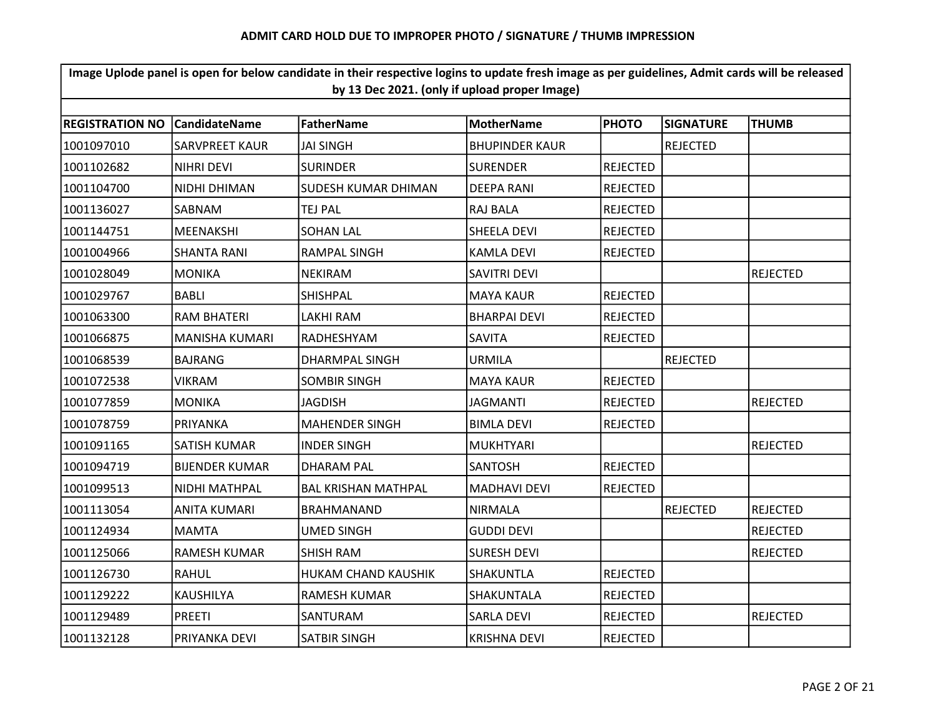| Image Uplode panel is open for below candidate in their respective logins to update fresh image as per guidelines, Admit cards will be released<br>by 13 Dec 2021. (only if upload proper Image) |                       |                            |                       |                 |                  |                 |  |  |  |
|--------------------------------------------------------------------------------------------------------------------------------------------------------------------------------------------------|-----------------------|----------------------------|-----------------------|-----------------|------------------|-----------------|--|--|--|
|                                                                                                                                                                                                  |                       |                            |                       |                 |                  |                 |  |  |  |
| <b>REGISTRATION NO</b>                                                                                                                                                                           | <b>CandidateName</b>  | <b>FatherName</b>          | <b>MotherName</b>     | <b>PHOTO</b>    | <b>SIGNATURE</b> | <b>THUMB</b>    |  |  |  |
| 1001097010                                                                                                                                                                                       | <b>SARVPREET KAUR</b> | <b>JAI SINGH</b>           | <b>BHUPINDER KAUR</b> |                 | <b>REJECTED</b>  |                 |  |  |  |
| 1001102682                                                                                                                                                                                       | <b>NIHRI DEVI</b>     | <b>SURINDER</b>            | <b>SURENDER</b>       | <b>REJECTED</b> |                  |                 |  |  |  |
| 1001104700                                                                                                                                                                                       | NIDHI DHIMAN          | SUDESH KUMAR DHIMAN        | <b>DEEPA RANI</b>     | <b>REJECTED</b> |                  |                 |  |  |  |
| 1001136027                                                                                                                                                                                       | SABNAM                | <b>TEJ PAL</b>             | RAJ BALA              | <b>REJECTED</b> |                  |                 |  |  |  |
| 1001144751                                                                                                                                                                                       | <b>MEENAKSHI</b>      | <b>SOHAN LAL</b>           | SHEELA DEVI           | <b>REJECTED</b> |                  |                 |  |  |  |
| 1001004966                                                                                                                                                                                       | <b>SHANTA RANI</b>    | <b>RAMPAL SINGH</b>        | <b>KAMLA DEVI</b>     | <b>REJECTED</b> |                  |                 |  |  |  |
| 1001028049                                                                                                                                                                                       | <b>MONIKA</b>         | <b>NEKIRAM</b>             | <b>SAVITRI DEVI</b>   |                 |                  | <b>REJECTED</b> |  |  |  |
| 1001029767                                                                                                                                                                                       | BABLI                 | <b>SHISHPAL</b>            | <b>MAYA KAUR</b>      | <b>REJECTED</b> |                  |                 |  |  |  |
| 1001063300                                                                                                                                                                                       | <b>RAM BHATERI</b>    | LAKHI RAM                  | <b>BHARPAI DEVI</b>   | <b>REJECTED</b> |                  |                 |  |  |  |
| 1001066875                                                                                                                                                                                       | <b>MANISHA KUMARI</b> | RADHESHYAM                 | <b>SAVITA</b>         | <b>REJECTED</b> |                  |                 |  |  |  |
| 1001068539                                                                                                                                                                                       | <b>BAJRANG</b>        | DHARMPAL SINGH             | URMILA                |                 | <b>REJECTED</b>  |                 |  |  |  |
| 1001072538                                                                                                                                                                                       | <b>VIKRAM</b>         | <b>SOMBIR SINGH</b>        | <b>MAYA KAUR</b>      | <b>REJECTED</b> |                  |                 |  |  |  |
| 1001077859                                                                                                                                                                                       | <b>MONIKA</b>         | <b>JAGDISH</b>             | <b>JAGMANTI</b>       | <b>REJECTED</b> |                  | <b>REJECTED</b> |  |  |  |
| 1001078759                                                                                                                                                                                       | PRIYANKA              | <b>MAHENDER SINGH</b>      | <b>BIMLA DEVI</b>     | <b>REJECTED</b> |                  |                 |  |  |  |
| 1001091165                                                                                                                                                                                       | SATISH KUMAR          | <b>INDER SINGH</b>         | <b>MUKHTYARI</b>      |                 |                  | <b>REJECTED</b> |  |  |  |
| 1001094719                                                                                                                                                                                       | <b>BIJENDER KUMAR</b> | <b>DHARAM PAL</b>          | <b>SANTOSH</b>        | <b>REJECTED</b> |                  |                 |  |  |  |
| 1001099513                                                                                                                                                                                       | NIDHI MATHPAL         | <b>BAL KRISHAN MATHPAL</b> | <b>MADHAVI DEVI</b>   | <b>REJECTED</b> |                  |                 |  |  |  |
| 1001113054                                                                                                                                                                                       | ANITA KUMARI          | BRAHMANAND                 | <b>NIRMALA</b>        |                 | <b>REJECTED</b>  | <b>REJECTED</b> |  |  |  |
| 1001124934                                                                                                                                                                                       | <b>MAMTA</b>          | <b>UMED SINGH</b>          | <b>GUDDI DEVI</b>     |                 |                  | <b>REJECTED</b> |  |  |  |
| 1001125066                                                                                                                                                                                       | <b>RAMESH KUMAR</b>   | <b>SHISH RAM</b>           | <b>SURESH DEVI</b>    |                 |                  | <b>REJECTED</b> |  |  |  |
| 1001126730                                                                                                                                                                                       | RAHUL                 | HUKAM CHAND KAUSHIK        | <b>SHAKUNTLA</b>      | <b>REJECTED</b> |                  |                 |  |  |  |
| 1001129222                                                                                                                                                                                       | KAUSHILYA             | RAMESH KUMAR               | SHAKUNTALA            | <b>REJECTED</b> |                  |                 |  |  |  |
| 1001129489                                                                                                                                                                                       | <b>PREETI</b>         | SANTURAM                   | <b>SARLA DEVI</b>     | <b>REJECTED</b> |                  | <b>REJECTED</b> |  |  |  |
| 1001132128                                                                                                                                                                                       | PRIYANKA DEVI         | <b>SATBIR SINGH</b>        | <b>KRISHNA DEVI</b>   | <b>REJECTED</b> |                  |                 |  |  |  |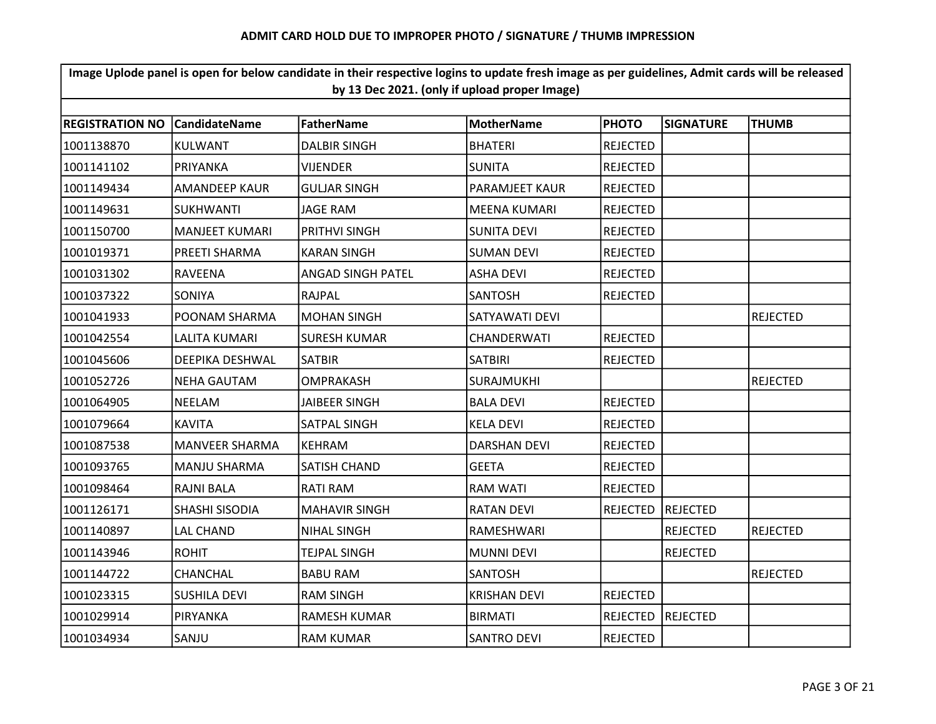| Image Uplode panel is open for below candidate in their respective logins to update fresh image as per guidelines, Admit cards will be released<br>by 13 Dec 2021. (only if upload proper Image) |                        |                      |                     |                 |                 |                 |  |  |
|--------------------------------------------------------------------------------------------------------------------------------------------------------------------------------------------------|------------------------|----------------------|---------------------|-----------------|-----------------|-----------------|--|--|
|                                                                                                                                                                                                  |                        |                      |                     |                 |                 |                 |  |  |
| 1001138870                                                                                                                                                                                       | <b>KULWANT</b>         | <b>DALBIR SINGH</b>  | <b>BHATERI</b>      | <b>REJECTED</b> |                 |                 |  |  |
| 1001141102                                                                                                                                                                                       | PRIYANKA               | <b>VIJENDER</b>      | <b>SUNITA</b>       | <b>REJECTED</b> |                 |                 |  |  |
| 1001149434                                                                                                                                                                                       | <b>AMANDEEP KAUR</b>   | <b>GULJAR SINGH</b>  | PARAMJEET KAUR      | <b>REJECTED</b> |                 |                 |  |  |
| 1001149631                                                                                                                                                                                       | <b>SUKHWANTI</b>       | JAGE RAM             | <b>MEENA KUMARI</b> | <b>REJECTED</b> |                 |                 |  |  |
| 1001150700                                                                                                                                                                                       | <b>MANJEET KUMARI</b>  | PRITHVI SINGH        | <b>SUNITA DEVI</b>  | <b>REJECTED</b> |                 |                 |  |  |
| 1001019371                                                                                                                                                                                       | <b>PREETI SHARMA</b>   | <b>KARAN SINGH</b>   | <b>SUMAN DEVI</b>   | <b>REJECTED</b> |                 |                 |  |  |
| 1001031302                                                                                                                                                                                       | <b>RAVEENA</b>         | ANGAD SINGH PATEL    | <b>ASHA DEVI</b>    | <b>REJECTED</b> |                 |                 |  |  |
| 1001037322                                                                                                                                                                                       | <b>SONIYA</b>          | RAJPAL               | <b>SANTOSH</b>      | <b>REJECTED</b> |                 |                 |  |  |
| 1001041933                                                                                                                                                                                       | POONAM SHARMA          | <b>MOHAN SINGH</b>   | SATYAWATI DEVI      |                 |                 | <b>REJECTED</b> |  |  |
| 1001042554                                                                                                                                                                                       | <b>LALITA KUMARI</b>   | <b>SURESH KUMAR</b>  | CHANDERWATI         | <b>REJECTED</b> |                 |                 |  |  |
| 1001045606                                                                                                                                                                                       | <b>DEEPIKA DESHWAL</b> | <b>SATBIR</b>        | <b>SATBIRI</b>      | <b>REJECTED</b> |                 |                 |  |  |
| 1001052726                                                                                                                                                                                       | <b>NEHA GAUTAM</b>     | OMPRAKASH            | <b>SURAJMUKHI</b>   |                 |                 | <b>REJECTED</b> |  |  |
| 1001064905                                                                                                                                                                                       | <b>NEELAM</b>          | <b>JAIBEER SINGH</b> | <b>BALA DEVI</b>    | <b>REJECTED</b> |                 |                 |  |  |
| 1001079664                                                                                                                                                                                       | <b>KAVITA</b>          | SATPAL SINGH         | <b>KELA DEVI</b>    | <b>REJECTED</b> |                 |                 |  |  |
| 1001087538                                                                                                                                                                                       | <b>MANVEER SHARMA</b>  | <b>KEHRAM</b>        | <b>DARSHAN DEVI</b> | <b>REJECTED</b> |                 |                 |  |  |
| 1001093765                                                                                                                                                                                       | <b>MANJU SHARMA</b>    | SATISH CHAND         | <b>GEETA</b>        | <b>REJECTED</b> |                 |                 |  |  |
| 1001098464                                                                                                                                                                                       | RAJNI BALA             | <b>RATI RAM</b>      | RAM WATI            | <b>REJECTED</b> |                 |                 |  |  |
| 1001126171                                                                                                                                                                                       | SHASHI SISODIA         | <b>MAHAVIR SINGH</b> | <b>RATAN DEVI</b>   | <b>REJECTED</b> | REJECTED        |                 |  |  |
| 1001140897                                                                                                                                                                                       | <b>LAL CHAND</b>       | <b>NIHAL SINGH</b>   | RAMESHWARI          |                 | <b>REJECTED</b> | <b>REJECTED</b> |  |  |
| 1001143946                                                                                                                                                                                       | <b>ROHIT</b>           | <b>TEJPAL SINGH</b>  | <b>MUNNI DEVI</b>   |                 | <b>REJECTED</b> |                 |  |  |
| 1001144722                                                                                                                                                                                       | <b>CHANCHAL</b>        | <b>BABU RAM</b>      | <b>SANTOSH</b>      |                 |                 | <b>REJECTED</b> |  |  |
| 1001023315                                                                                                                                                                                       | <b>SUSHILA DEVI</b>    | <b>RAM SINGH</b>     | <b>KRISHAN DEVI</b> | <b>REJECTED</b> |                 |                 |  |  |
| 1001029914                                                                                                                                                                                       | PIRYANKA               | <b>RAMESH KUMAR</b>  | <b>BIRMATI</b>      | <b>REJECTED</b> | REJECTED        |                 |  |  |
| 1001034934                                                                                                                                                                                       | SANJU                  | <b>RAM KUMAR</b>     | <b>SANTRO DEVI</b>  | <b>REJECTED</b> |                 |                 |  |  |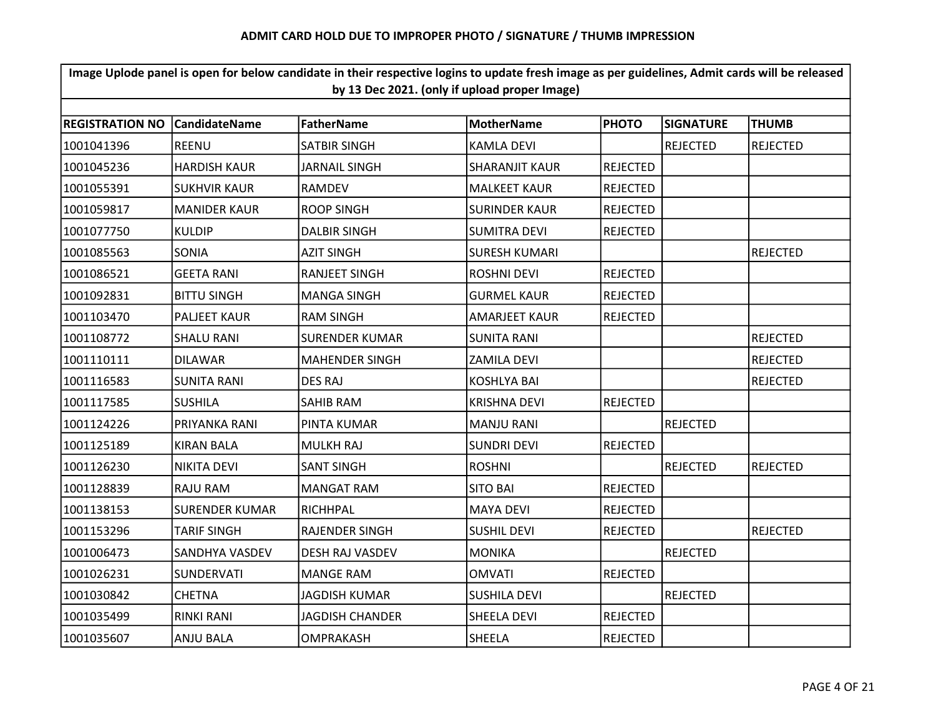| Image Uplode panel is open for below candidate in their respective logins to update fresh image as per guidelines, Admit cards will be released<br>by 13 Dec 2021. (only if upload proper Image) |                       |                        |                       |                 |                  |                 |  |  |  |
|--------------------------------------------------------------------------------------------------------------------------------------------------------------------------------------------------|-----------------------|------------------------|-----------------------|-----------------|------------------|-----------------|--|--|--|
|                                                                                                                                                                                                  |                       |                        |                       |                 |                  |                 |  |  |  |
| <b>REGISTRATION NO</b>                                                                                                                                                                           | <b>CandidateName</b>  | <b>FatherName</b>      | <b>MotherName</b>     | <b>PHOTO</b>    | <b>SIGNATURE</b> | <b>THUMB</b>    |  |  |  |
| 1001041396                                                                                                                                                                                       | <b>REENU</b>          | <b>SATBIR SINGH</b>    | <b>KAMLA DEVI</b>     |                 | <b>REJECTED</b>  | <b>REJECTED</b> |  |  |  |
| 1001045236                                                                                                                                                                                       | <b>HARDISH KAUR</b>   | JARNAIL SINGH          | <b>SHARANJIT KAUR</b> | <b>REJECTED</b> |                  |                 |  |  |  |
| 1001055391                                                                                                                                                                                       | <b>SUKHVIR KAUR</b>   | <b>RAMDEV</b>          | <b>MALKEET KAUR</b>   | <b>REJECTED</b> |                  |                 |  |  |  |
| 1001059817                                                                                                                                                                                       | <b>MANIDER KAUR</b>   | <b>ROOP SINGH</b>      | <b>SURINDER KAUR</b>  | <b>REJECTED</b> |                  |                 |  |  |  |
| 1001077750                                                                                                                                                                                       | <b>KULDIP</b>         | <b>DALBIR SINGH</b>    | <b>SUMITRA DEVI</b>   | <b>REJECTED</b> |                  |                 |  |  |  |
| 1001085563                                                                                                                                                                                       | SONIA                 | <b>AZIT SINGH</b>      | <b>SURESH KUMARI</b>  |                 |                  | <b>REJECTED</b> |  |  |  |
| 1001086521                                                                                                                                                                                       | <b>GEETA RANI</b>     | <b>RANJEET SINGH</b>   | <b>ROSHNI DEVI</b>    | <b>REJECTED</b> |                  |                 |  |  |  |
| 1001092831                                                                                                                                                                                       | <b>BITTU SINGH</b>    | <b>MANGA SINGH</b>     | <b>GURMEL KAUR</b>    | <b>REJECTED</b> |                  |                 |  |  |  |
| 1001103470                                                                                                                                                                                       | <b>PALJEET KAUR</b>   | <b>RAM SINGH</b>       | <b>AMARJEET KAUR</b>  | <b>REJECTED</b> |                  |                 |  |  |  |
| 1001108772                                                                                                                                                                                       | <b>SHALU RANI</b>     | <b>SURENDER KUMAR</b>  | <b>SUNITA RANI</b>    |                 |                  | <b>REJECTED</b> |  |  |  |
| 1001110111                                                                                                                                                                                       | <b>DILAWAR</b>        | <b>MAHENDER SINGH</b>  | <b>ZAMILA DEVI</b>    |                 |                  | <b>REJECTED</b> |  |  |  |
| 1001116583                                                                                                                                                                                       | <b>SUNITA RANI</b>    | <b>DES RAJ</b>         | <b>KOSHLYA BAI</b>    |                 |                  | <b>REJECTED</b> |  |  |  |
| 1001117585                                                                                                                                                                                       | <b>SUSHILA</b>        | SAHIB RAM              | <b>KRISHNA DEVI</b>   | <b>REJECTED</b> |                  |                 |  |  |  |
| 1001124226                                                                                                                                                                                       | PRIYANKA RANI         | PINTA KUMAR            | <b>MANJU RANI</b>     |                 | <b>REJECTED</b>  |                 |  |  |  |
| 1001125189                                                                                                                                                                                       | <b>KIRAN BALA</b>     | <b>MULKH RAJ</b>       | <b>SUNDRI DEVI</b>    | <b>REJECTED</b> |                  |                 |  |  |  |
| 1001126230                                                                                                                                                                                       | <b>NIKITA DEVI</b>    | <b>SANT SINGH</b>      | <b>ROSHNI</b>         |                 | <b>REJECTED</b>  | REJECTED        |  |  |  |
| 1001128839                                                                                                                                                                                       | RAJU RAM              | MANGAT RAM             | <b>SITO BAI</b>       | <b>REJECTED</b> |                  |                 |  |  |  |
| 1001138153                                                                                                                                                                                       | <b>SURENDER KUMAR</b> | RICHHPAL               | <b>MAYA DEVI</b>      | <b>REJECTED</b> |                  |                 |  |  |  |
| 1001153296                                                                                                                                                                                       | <b>TARIF SINGH</b>    | <b>RAJENDER SINGH</b>  | <b>SUSHIL DEVI</b>    | <b>REJECTED</b> |                  | <b>REJECTED</b> |  |  |  |
| 1001006473                                                                                                                                                                                       | SANDHYA VASDEV        | <b>DESH RAJ VASDEV</b> | <b>MONIKA</b>         |                 | <b>REJECTED</b>  |                 |  |  |  |
| 1001026231                                                                                                                                                                                       | <b>SUNDERVATI</b>     | <b>MANGE RAM</b>       | <b>OMVATI</b>         | <b>REJECTED</b> |                  |                 |  |  |  |
| 1001030842                                                                                                                                                                                       | <b>CHETNA</b>         | <b>JAGDISH KUMAR</b>   | <b>SUSHILA DEVI</b>   |                 | <b>REJECTED</b>  |                 |  |  |  |
| 1001035499                                                                                                                                                                                       | <b>RINKI RANI</b>     | <b>JAGDISH CHANDER</b> | <b>SHEELA DEVI</b>    | <b>REJECTED</b> |                  |                 |  |  |  |
| 1001035607                                                                                                                                                                                       | <b>ANJU BALA</b>      | OMPRAKASH              | SHEELA                | <b>REJECTED</b> |                  |                 |  |  |  |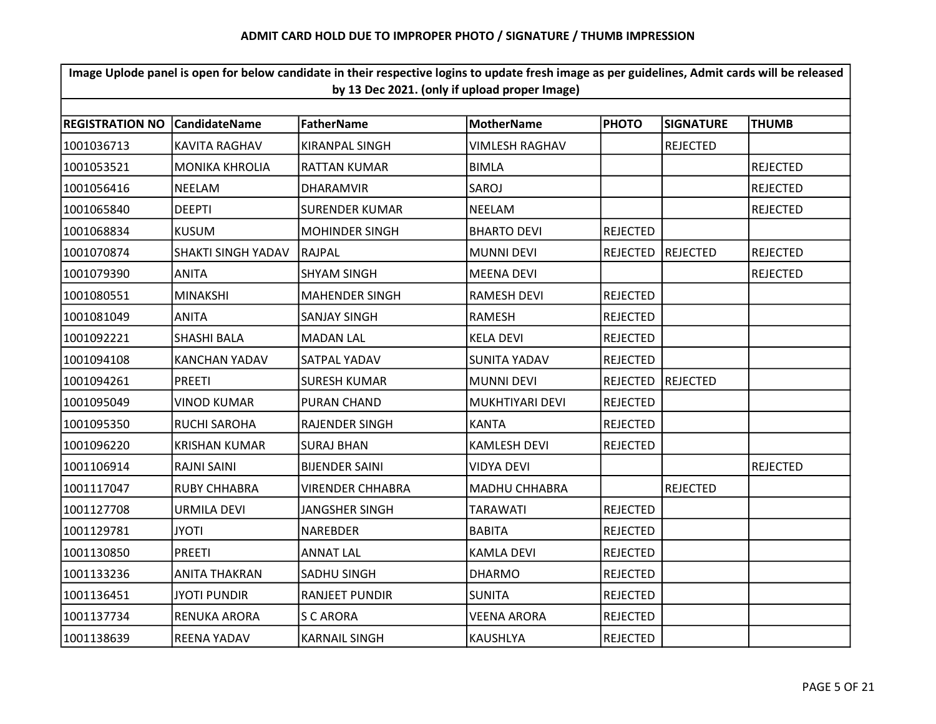| Image Uplode panel is open for below candidate in their respective logins to update fresh image as per guidelines, Admit cards will be released<br>by 13 Dec 2021. (only if upload proper Image) |                           |                       |                       |                 |                  |                 |  |  |  |
|--------------------------------------------------------------------------------------------------------------------------------------------------------------------------------------------------|---------------------------|-----------------------|-----------------------|-----------------|------------------|-----------------|--|--|--|
|                                                                                                                                                                                                  |                           |                       |                       |                 |                  |                 |  |  |  |
| <b>REGISTRATION NO</b>                                                                                                                                                                           | <b>CandidateName</b>      | <b>FatherName</b>     | <b>MotherName</b>     | <b>PHOTO</b>    | <b>SIGNATURE</b> | <b>THUMB</b>    |  |  |  |
| 1001036713                                                                                                                                                                                       | <b>KAVITA RAGHAV</b>      | KIRANPAL SINGH        | <b>VIMLESH RAGHAV</b> |                 | <b>REJECTED</b>  |                 |  |  |  |
| 1001053521                                                                                                                                                                                       | <b>MONIKA KHROLIA</b>     | <b>RATTAN KUMAR</b>   | <b>BIMLA</b>          |                 |                  | <b>REJECTED</b> |  |  |  |
| 1001056416                                                                                                                                                                                       | <b>NEELAM</b>             | <b>DHARAMVIR</b>      | SAROJ                 |                 |                  | <b>REJECTED</b> |  |  |  |
| 1001065840                                                                                                                                                                                       | <b>DEEPTI</b>             | <b>SURENDER KUMAR</b> | <b>NEELAM</b>         |                 |                  | <b>REJECTED</b> |  |  |  |
| 1001068834                                                                                                                                                                                       | <b>KUSUM</b>              | <b>MOHINDER SINGH</b> | <b>BHARTO DEVI</b>    | <b>REJECTED</b> |                  |                 |  |  |  |
| 1001070874                                                                                                                                                                                       | <b>SHAKTI SINGH YADAV</b> | RAJPAL                | <b>MUNNI DEVI</b>     | <b>REJECTED</b> | REJECTED         | <b>REJECTED</b> |  |  |  |
| 1001079390                                                                                                                                                                                       | <b>ANITA</b>              | <b>SHYAM SINGH</b>    | <b>MEENA DEVI</b>     |                 |                  | <b>REJECTED</b> |  |  |  |
| 1001080551                                                                                                                                                                                       | <b>MINAKSHI</b>           | <b>MAHENDER SINGH</b> | <b>RAMESH DEVI</b>    | <b>REJECTED</b> |                  |                 |  |  |  |
| 1001081049                                                                                                                                                                                       | ANITA                     | SANJAY SINGH          | <b>RAMESH</b>         | <b>REJECTED</b> |                  |                 |  |  |  |
| 1001092221                                                                                                                                                                                       | SHASHI BALA               | <b>MADAN LAL</b>      | <b>KELA DEVI</b>      | <b>REJECTED</b> |                  |                 |  |  |  |
| 1001094108                                                                                                                                                                                       | <b>KANCHAN YADAV</b>      | SATPAL YADAV          | <b>SUNITA YADAV</b>   | <b>REJECTED</b> |                  |                 |  |  |  |
| 1001094261                                                                                                                                                                                       | <b>PREETI</b>             | <b>SURESH KUMAR</b>   | <b>MUNNI DEVI</b>     | <b>REJECTED</b> | REJECTED         |                 |  |  |  |
| 1001095049                                                                                                                                                                                       | <b>VINOD KUMAR</b>        | PURAN CHAND           | MUKHTIYARI DEVI       | <b>REJECTED</b> |                  |                 |  |  |  |
| 1001095350                                                                                                                                                                                       | <b>RUCHI SAROHA</b>       | RAJENDER SINGH        | <b>KANTA</b>          | <b>REJECTED</b> |                  |                 |  |  |  |
| 1001096220                                                                                                                                                                                       | <b>KRISHAN KUMAR</b>      | <b>SURAJ BHAN</b>     | <b>KAMLESH DEVI</b>   | <b>REJECTED</b> |                  |                 |  |  |  |
| 1001106914                                                                                                                                                                                       | <b>RAJNI SAINI</b>        | <b>BIJENDER SAINI</b> | <b>VIDYA DEVI</b>     |                 |                  | <b>REJECTED</b> |  |  |  |
| 1001117047                                                                                                                                                                                       | RUBY CHHABRA              | VIRENDER CHHABRA      | <b>MADHU CHHABRA</b>  |                 | <b>REJECTED</b>  |                 |  |  |  |
| 1001127708                                                                                                                                                                                       | <b>URMILA DEVI</b>        | <b>JANGSHER SINGH</b> | <b>TARAWATI</b>       | <b>REJECTED</b> |                  |                 |  |  |  |
| 1001129781                                                                                                                                                                                       | <b>JYOTI</b>              | <b>NAREBDER</b>       | <b>BABITA</b>         | <b>REJECTED</b> |                  |                 |  |  |  |
| 1001130850                                                                                                                                                                                       | <b>PREETI</b>             | <b>ANNAT LAL</b>      | <b>KAMLA DEVI</b>     | <b>REJECTED</b> |                  |                 |  |  |  |
| 1001133236                                                                                                                                                                                       | <b>ANITA THAKRAN</b>      | SADHU SINGH           | <b>DHARMO</b>         | <b>REJECTED</b> |                  |                 |  |  |  |
| 1001136451                                                                                                                                                                                       | <b>JYOTI PUNDIR</b>       | <b>RANJEET PUNDIR</b> | <b>SUNITA</b>         | <b>REJECTED</b> |                  |                 |  |  |  |
| 1001137734                                                                                                                                                                                       | RENUKA ARORA              | <b>S C ARORA</b>      | <b>VEENA ARORA</b>    | <b>REJECTED</b> |                  |                 |  |  |  |
| 1001138639                                                                                                                                                                                       | <b>REENA YADAV</b>        | <b>KARNAIL SINGH</b>  | <b>KAUSHLYA</b>       | <b>REJECTED</b> |                  |                 |  |  |  |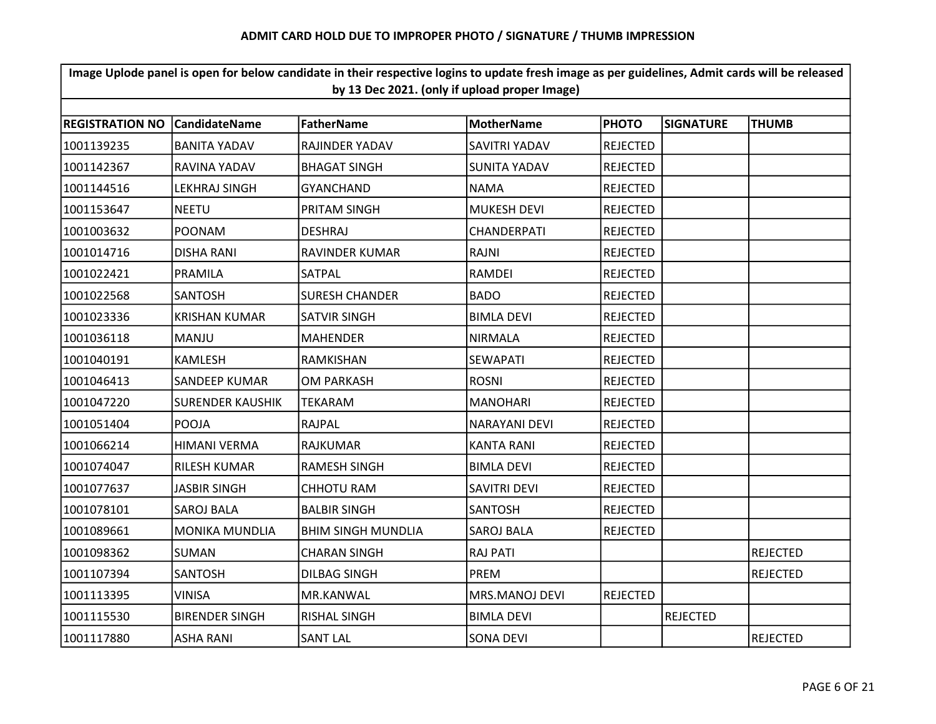| Image Uplode panel is open for below candidate in their respective logins to update fresh image as per guidelines, Admit cards will be released<br>by 13 Dec 2021. (only if upload proper Image) |                                                                                                                                              |                           |                     |                 |                 |                 |  |  |  |  |
|--------------------------------------------------------------------------------------------------------------------------------------------------------------------------------------------------|----------------------------------------------------------------------------------------------------------------------------------------------|---------------------------|---------------------|-----------------|-----------------|-----------------|--|--|--|--|
|                                                                                                                                                                                                  | <b>FatherName</b><br><b>REGISTRATION NO</b><br><b>CandidateName</b><br><b>MotherName</b><br><b>PHOTO</b><br><b>SIGNATURE</b><br><b>THUMB</b> |                           |                     |                 |                 |                 |  |  |  |  |
|                                                                                                                                                                                                  |                                                                                                                                              |                           |                     |                 |                 |                 |  |  |  |  |
| 1001139235                                                                                                                                                                                       | <b>BANITA YADAV</b>                                                                                                                          | RAJINDER YADAV            | SAVITRI YADAV       | <b>REJECTED</b> |                 |                 |  |  |  |  |
| 1001142367                                                                                                                                                                                       | RAVINA YADAV                                                                                                                                 | <b>BHAGAT SINGH</b>       | <b>SUNITA YADAV</b> | <b>REJECTED</b> |                 |                 |  |  |  |  |
| 1001144516                                                                                                                                                                                       | <b>LEKHRAJ SINGH</b>                                                                                                                         | <b>GYANCHAND</b>          | <b>NAMA</b>         | <b>REJECTED</b> |                 |                 |  |  |  |  |
| 1001153647                                                                                                                                                                                       | <b>NEETU</b>                                                                                                                                 | PRITAM SINGH              | <b>MUKESH DEVI</b>  | <b>REJECTED</b> |                 |                 |  |  |  |  |
| 1001003632                                                                                                                                                                                       | <b>POONAM</b>                                                                                                                                | <b>DESHRAJ</b>            | CHANDERPATI         | <b>REJECTED</b> |                 |                 |  |  |  |  |
| 1001014716                                                                                                                                                                                       | <b>DISHA RANI</b>                                                                                                                            | <b>RAVINDER KUMAR</b>     | RAJNI               | <b>REJECTED</b> |                 |                 |  |  |  |  |
| 1001022421                                                                                                                                                                                       | <b>PRAMILA</b>                                                                                                                               | SATPAL                    | RAMDEI              | <b>REJECTED</b> |                 |                 |  |  |  |  |
| 1001022568                                                                                                                                                                                       | <b>SANTOSH</b>                                                                                                                               | <b>SURESH CHANDER</b>     | <b>BADO</b>         | <b>REJECTED</b> |                 |                 |  |  |  |  |
| 1001023336                                                                                                                                                                                       | <b>KRISHAN KUMAR</b>                                                                                                                         | <b>SATVIR SINGH</b>       | <b>BIMLA DEVI</b>   | <b>REJECTED</b> |                 |                 |  |  |  |  |
| 1001036118                                                                                                                                                                                       | <b>MANJU</b>                                                                                                                                 | <b>MAHENDER</b>           | <b>NIRMALA</b>      | <b>REJECTED</b> |                 |                 |  |  |  |  |
| 1001040191                                                                                                                                                                                       | <b>KAMLESH</b>                                                                                                                               | RAMKISHAN                 | <b>SEWAPATI</b>     | <b>REJECTED</b> |                 |                 |  |  |  |  |
| 1001046413                                                                                                                                                                                       | <b>SANDEEP KUMAR</b>                                                                                                                         | OM PARKASH                | <b>ROSNI</b>        | <b>REJECTED</b> |                 |                 |  |  |  |  |
| 1001047220                                                                                                                                                                                       | <b>SURENDER KAUSHIK</b>                                                                                                                      | <b>TEKARAM</b>            | <b>MANOHARI</b>     | <b>REJECTED</b> |                 |                 |  |  |  |  |
| 1001051404                                                                                                                                                                                       | POOJA                                                                                                                                        | <b>RAJPAL</b>             | NARAYANI DEVI       | <b>REJECTED</b> |                 |                 |  |  |  |  |
| 1001066214                                                                                                                                                                                       | <b>HIMANI VERMA</b>                                                                                                                          | <b>RAJKUMAR</b>           | <b>KANTA RANI</b>   | <b>REJECTED</b> |                 |                 |  |  |  |  |
| 1001074047                                                                                                                                                                                       | <b>RILESH KUMAR</b>                                                                                                                          | <b>RAMESH SINGH</b>       | <b>BIMLA DEVI</b>   | <b>REJECTED</b> |                 |                 |  |  |  |  |
| 1001077637                                                                                                                                                                                       | <b>JASBIR SINGH</b>                                                                                                                          | <b>CHHOTU RAM</b>         | <b>SAVITRI DEVI</b> | <b>REJECTED</b> |                 |                 |  |  |  |  |
| 1001078101                                                                                                                                                                                       | <b>SAROJ BALA</b>                                                                                                                            | <b>BALBIR SINGH</b>       | <b>SANTOSH</b>      | <b>REJECTED</b> |                 |                 |  |  |  |  |
| 1001089661                                                                                                                                                                                       | <b>MONIKA MUNDLIA</b>                                                                                                                        | <b>BHIM SINGH MUNDLIA</b> | <b>SAROJ BALA</b>   | <b>REJECTED</b> |                 |                 |  |  |  |  |
| 1001098362                                                                                                                                                                                       | <b>SUMAN</b>                                                                                                                                 | <b>CHARAN SINGH</b>       | <b>RAJ PATI</b>     |                 |                 | <b>REJECTED</b> |  |  |  |  |
| 1001107394                                                                                                                                                                                       | <b>SANTOSH</b>                                                                                                                               | DILBAG SINGH              | <b>PREM</b>         |                 |                 | <b>REJECTED</b> |  |  |  |  |
| 1001113395                                                                                                                                                                                       | <b>VINISA</b>                                                                                                                                | MR.KANWAL                 | MRS.MANOJ DEVI      | <b>REJECTED</b> |                 |                 |  |  |  |  |
| 1001115530                                                                                                                                                                                       | <b>BIRENDER SINGH</b>                                                                                                                        | <b>RISHAL SINGH</b>       | <b>BIMLA DEVI</b>   |                 | <b>REJECTED</b> |                 |  |  |  |  |
| 1001117880                                                                                                                                                                                       | <b>ASHA RANI</b>                                                                                                                             | <b>SANT LAL</b>           | <b>SONA DEVI</b>    |                 |                 | <b>REJECTED</b> |  |  |  |  |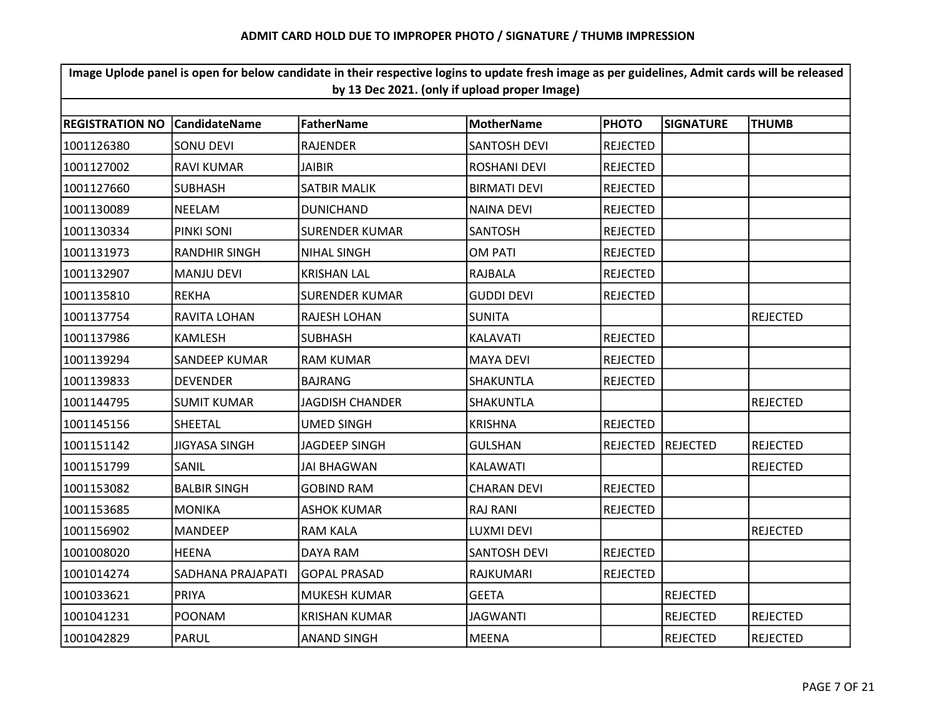| Image Uplode panel is open for below candidate in their respective logins to update fresh image as per guidelines, Admit cards will be released<br>by 13 Dec 2021. (only if upload proper Image) |                      |                        |                     |                 |                  |                 |  |  |
|--------------------------------------------------------------------------------------------------------------------------------------------------------------------------------------------------|----------------------|------------------------|---------------------|-----------------|------------------|-----------------|--|--|
| <b>REGISTRATION NO</b>                                                                                                                                                                           | l Candidate Name     | <b>FatherName</b>      | <b>MotherName</b>   | <b>PHOTO</b>    | <b>SIGNATURE</b> | <b>THUMB</b>    |  |  |
| 1001126380                                                                                                                                                                                       | <b>SONU DEVI</b>     | <b>RAJENDER</b>        | <b>SANTOSH DEVI</b> | <b>REJECTED</b> |                  |                 |  |  |
| 1001127002                                                                                                                                                                                       | <b>RAVI KUMAR</b>    | <b>JAIBIR</b>          | <b>ROSHANI DEVI</b> | <b>REJECTED</b> |                  |                 |  |  |
| 1001127660                                                                                                                                                                                       | <b>SUBHASH</b>       | <b>SATBIR MALIK</b>    | <b>BIRMATI DEVI</b> | <b>REJECTED</b> |                  |                 |  |  |
| 1001130089                                                                                                                                                                                       | <b>NEELAM</b>        | <b>DUNICHAND</b>       | NAINA DEVI          | <b>REJECTED</b> |                  |                 |  |  |
| 1001130334                                                                                                                                                                                       | PINKI SONI           | <b>SURENDER KUMAR</b>  | <b>SANTOSH</b>      | <b>REJECTED</b> |                  |                 |  |  |
| 1001131973                                                                                                                                                                                       | <b>RANDHIR SINGH</b> | <b>NIHAL SINGH</b>     | <b>OM PATI</b>      | <b>REJECTED</b> |                  |                 |  |  |
| 1001132907                                                                                                                                                                                       | <b>MANJU DEVI</b>    | <b>KRISHAN LAL</b>     | RAJBALA             | <b>REJECTED</b> |                  |                 |  |  |
| 1001135810                                                                                                                                                                                       | <b>REKHA</b>         | <b>SURENDER KUMAR</b>  | <b>GUDDI DEVI</b>   | <b>REJECTED</b> |                  |                 |  |  |
| 1001137754                                                                                                                                                                                       | RAVITA LOHAN         | RAJESH LOHAN           | <b>SUNITA</b>       |                 |                  | <b>REJECTED</b> |  |  |
| 1001137986                                                                                                                                                                                       | <b>KAMLESH</b>       | <b>SUBHASH</b>         | KALAVATI            | <b>REJECTED</b> |                  |                 |  |  |
| 1001139294                                                                                                                                                                                       | <b>SANDEEP KUMAR</b> | <b>RAM KUMAR</b>       | <b>MAYA DEVI</b>    | <b>REJECTED</b> |                  |                 |  |  |
| 1001139833                                                                                                                                                                                       | <b>DEVENDER</b>      | <b>BAJRANG</b>         | <b>SHAKUNTLA</b>    | <b>REJECTED</b> |                  |                 |  |  |
| 1001144795                                                                                                                                                                                       | <b>SUMIT KUMAR</b>   | <b>JAGDISH CHANDER</b> | <b>SHAKUNTLA</b>    |                 |                  | <b>REJECTED</b> |  |  |
| 1001145156                                                                                                                                                                                       | SHEETAL              | <b>UMED SINGH</b>      | <b>KRISHNA</b>      | <b>REJECTED</b> |                  |                 |  |  |
| 1001151142                                                                                                                                                                                       | JIGYASA SINGH        | <b>JAGDEEP SINGH</b>   | <b>GULSHAN</b>      | REJECTED        | REJECTED         | REJECTED        |  |  |
| 1001151799                                                                                                                                                                                       | SANIL                | <b>JAI BHAGWAN</b>     | KALAWATI            |                 |                  | <b>REJECTED</b> |  |  |
| 1001153082                                                                                                                                                                                       | <b>BALBIR SINGH</b>  | GOBIND RAM             | <b>CHARAN DEVI</b>  | <b>REJECTED</b> |                  |                 |  |  |
| 1001153685                                                                                                                                                                                       | <b>MONIKA</b>        | <b>ASHOK KUMAR</b>     | <b>RAJ RANI</b>     | <b>REJECTED</b> |                  |                 |  |  |
| 1001156902                                                                                                                                                                                       | <b>MANDEEP</b>       | <b>RAM KALA</b>        | LUXMI DEVI          |                 |                  | <b>REJECTED</b> |  |  |
| 1001008020                                                                                                                                                                                       | <b>HEENA</b>         | DAYA RAM               | <b>SANTOSH DEVI</b> | <b>REJECTED</b> |                  |                 |  |  |
| 1001014274                                                                                                                                                                                       | SADHANA PRAJAPATI    | <b>GOPAL PRASAD</b>    | RAJKUMARI           | <b>REJECTED</b> |                  |                 |  |  |
| 1001033621                                                                                                                                                                                       | PRIYA                | MUKESH KUMAR           | <b>GEETA</b>        |                 | <b>REJECTED</b>  |                 |  |  |
| 1001041231                                                                                                                                                                                       | <b>POONAM</b>        | <b>KRISHAN KUMAR</b>   | <b>JAGWANTI</b>     |                 | <b>REJECTED</b>  | <b>REJECTED</b> |  |  |
| 1001042829                                                                                                                                                                                       | <b>PARUL</b>         | <b>ANAND SINGH</b>     | <b>MEENA</b>        |                 | <b>REJECTED</b>  | <b>REJECTED</b> |  |  |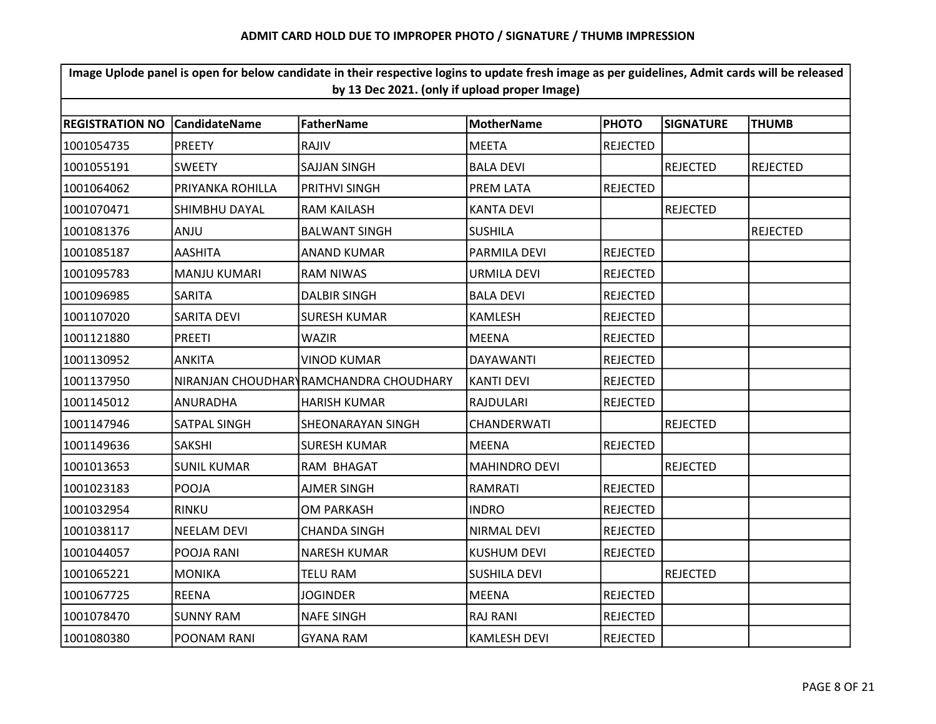| Image Uplode panel is open for below candidate in their respective logins to update fresh image as per guidelines, Admit cards will be released<br>by 13 Dec 2021. (only if upload proper Image) |                      |                                        |                      |                 |                  |                 |  |  |  |
|--------------------------------------------------------------------------------------------------------------------------------------------------------------------------------------------------|----------------------|----------------------------------------|----------------------|-----------------|------------------|-----------------|--|--|--|
|                                                                                                                                                                                                  |                      |                                        |                      |                 |                  |                 |  |  |  |
| <b>REGISTRATION NO</b>                                                                                                                                                                           | <b>CandidateName</b> | <b>FatherName</b>                      | <b>MotherName</b>    | <b>PHOTO</b>    | <b>SIGNATURE</b> | <b>THUMB</b>    |  |  |  |
| 1001054735                                                                                                                                                                                       | <b>PREETY</b>        | <b>RAJIV</b>                           | <b>MEETA</b>         | <b>REJECTED</b> |                  |                 |  |  |  |
| 1001055191                                                                                                                                                                                       | <b>SWEETY</b>        | <b>SAJJAN SINGH</b>                    | <b>BALA DEVI</b>     |                 | <b>REJECTED</b>  | <b>REJECTED</b> |  |  |  |
| 1001064062                                                                                                                                                                                       | PRIYANKA ROHILLA     | PRITHVI SINGH                          | PREM LATA            | <b>REJECTED</b> |                  |                 |  |  |  |
| 1001070471                                                                                                                                                                                       | SHIMBHU DAYAL        | <b>RAM KAILASH</b>                     | <b>KANTA DEVI</b>    |                 | <b>REJECTED</b>  |                 |  |  |  |
| 1001081376                                                                                                                                                                                       | ANJU                 | <b>BALWANT SINGH</b>                   | <b>SUSHILA</b>       |                 |                  | <b>REJECTED</b> |  |  |  |
| 1001085187                                                                                                                                                                                       | AASHITA              | <b>ANAND KUMAR</b>                     | PARMILA DEVI         | <b>REJECTED</b> |                  |                 |  |  |  |
| 1001095783                                                                                                                                                                                       | <b>MANJU KUMARI</b>  | <b>RAM NIWAS</b>                       | <b>URMILA DEVI</b>   | <b>REJECTED</b> |                  |                 |  |  |  |
| 1001096985                                                                                                                                                                                       | SARITA               | <b>DALBIR SINGH</b>                    | <b>BALA DEVI</b>     | <b>REJECTED</b> |                  |                 |  |  |  |
| 1001107020                                                                                                                                                                                       | SARITA DEVI          | <b>SURESH KUMAR</b>                    | KAMLESH              | <b>REJECTED</b> |                  |                 |  |  |  |
| 1001121880                                                                                                                                                                                       | <b>PREETI</b>        | <b>WAZIR</b>                           | <b>MEENA</b>         | <b>REJECTED</b> |                  |                 |  |  |  |
| 1001130952                                                                                                                                                                                       | <b>ANKITA</b>        | <b>VINOD KUMAR</b>                     | <b>DAYAWANTI</b>     | <b>REJECTED</b> |                  |                 |  |  |  |
| 1001137950                                                                                                                                                                                       |                      | NIRANJAN CHOUDHARYRAMCHANDRA CHOUDHARY | <b>KANTI DEVI</b>    | <b>REJECTED</b> |                  |                 |  |  |  |
| 1001145012                                                                                                                                                                                       | ANURADHA             | <b>HARISH KUMAR</b>                    | RAJDULARI            | <b>REJECTED</b> |                  |                 |  |  |  |
| 1001147946                                                                                                                                                                                       | SATPAL SINGH         | SHEONARAYAN SINGH                      | CHANDERWATI          |                 | <b>REJECTED</b>  |                 |  |  |  |
| 1001149636                                                                                                                                                                                       | <b>SAKSHI</b>        | <b>SURESH KUMAR</b>                    | <b>MEENA</b>         | <b>REJECTED</b> |                  |                 |  |  |  |
| 1001013653                                                                                                                                                                                       | <b>SUNIL KUMAR</b>   | RAM BHAGAT                             | <b>MAHINDRO DEVI</b> |                 | <b>REJECTED</b>  |                 |  |  |  |
| 1001023183                                                                                                                                                                                       | POOJA                | AJMER SINGH                            | RAMRATI              | <b>REJECTED</b> |                  |                 |  |  |  |
| 1001032954                                                                                                                                                                                       | <b>RINKU</b>         | <b>OM PARKASH</b>                      | <b>INDRO</b>         | <b>REJECTED</b> |                  |                 |  |  |  |
| 1001038117                                                                                                                                                                                       | <b>NEELAM DEVI</b>   | <b>CHANDA SINGH</b>                    | <b>NIRMAL DEVI</b>   | <b>REJECTED</b> |                  |                 |  |  |  |
| 1001044057                                                                                                                                                                                       | POOJA RANI           | <b>NARESH KUMAR</b>                    | <b>KUSHUM DEVI</b>   | <b>REJECTED</b> |                  |                 |  |  |  |
| 1001065221                                                                                                                                                                                       | <b>MONIKA</b>        | <b>TELU RAM</b>                        | <b>SUSHILA DEVI</b>  |                 | <b>REJECTED</b>  |                 |  |  |  |
| 1001067725                                                                                                                                                                                       | <b>REENA</b>         | <b>JOGINDER</b>                        | <b>MEENA</b>         | <b>REJECTED</b> |                  |                 |  |  |  |
| 1001078470                                                                                                                                                                                       | <b>SUNNY RAM</b>     | <b>NAFE SINGH</b>                      | <b>RAJ RANI</b>      | <b>REJECTED</b> |                  |                 |  |  |  |
| 1001080380                                                                                                                                                                                       | POONAM RANI          | <b>GYANA RAM</b>                       | <b>KAMLESH DEVI</b>  | REJECTED        |                  |                 |  |  |  |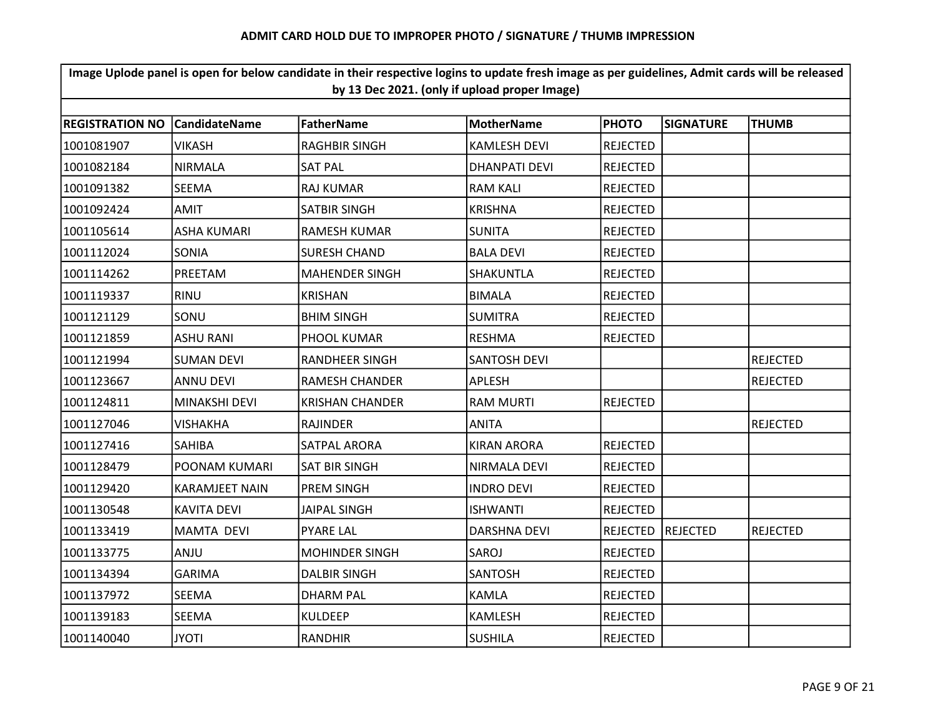| Image Uplode panel is open for below candidate in their respective logins to update fresh image as per guidelines, Admit cards will be released<br>by 13 Dec 2021. (only if upload proper Image) |                       |                        |                      |                 |                  |                 |  |  |  |
|--------------------------------------------------------------------------------------------------------------------------------------------------------------------------------------------------|-----------------------|------------------------|----------------------|-----------------|------------------|-----------------|--|--|--|
|                                                                                                                                                                                                  |                       |                        |                      |                 |                  |                 |  |  |  |
| <b>REGISTRATION NO</b>                                                                                                                                                                           | <b>CandidateName</b>  | <b>FatherName</b>      | <b>MotherName</b>    | <b>PHOTO</b>    | <b>SIGNATURE</b> | <b>THUMB</b>    |  |  |  |
| 1001081907                                                                                                                                                                                       | <b>VIKASH</b>         | <b>RAGHBIR SINGH</b>   | <b>KAMLESH DEVI</b>  | <b>REJECTED</b> |                  |                 |  |  |  |
| 1001082184                                                                                                                                                                                       | <b>NIRMALA</b>        | <b>SAT PAL</b>         | <b>DHANPATI DEVI</b> | <b>REJECTED</b> |                  |                 |  |  |  |
| 1001091382                                                                                                                                                                                       | <b>SEEMA</b>          | <b>RAJ KUMAR</b>       | <b>RAM KALI</b>      | <b>REJECTED</b> |                  |                 |  |  |  |
| 1001092424                                                                                                                                                                                       | <b>AMIT</b>           | SATBIR SINGH           | <b>KRISHNA</b>       | REJECTED        |                  |                 |  |  |  |
| 1001105614                                                                                                                                                                                       | <b>ASHA KUMARI</b>    | <b>RAMESH KUMAR</b>    | <b>SUNITA</b>        | <b>REJECTED</b> |                  |                 |  |  |  |
| 1001112024                                                                                                                                                                                       | SONIA                 | <b>SURESH CHAND</b>    | <b>BALA DEVI</b>     | <b>REJECTED</b> |                  |                 |  |  |  |
| 1001114262                                                                                                                                                                                       | PREETAM               | <b>MAHENDER SINGH</b>  | <b>SHAKUNTLA</b>     | <b>REJECTED</b> |                  |                 |  |  |  |
| 1001119337                                                                                                                                                                                       | <b>RINU</b>           | <b>KRISHAN</b>         | <b>BIMALA</b>        | <b>REJECTED</b> |                  |                 |  |  |  |
| 1001121129                                                                                                                                                                                       | SONU                  | <b>BHIM SINGH</b>      | <b>SUMITRA</b>       | <b>REJECTED</b> |                  |                 |  |  |  |
| 1001121859                                                                                                                                                                                       | <b>ASHU RANI</b>      | PHOOL KUMAR            | <b>RESHMA</b>        | <b>REJECTED</b> |                  |                 |  |  |  |
| 1001121994                                                                                                                                                                                       | <b>SUMAN DEVI</b>     | RANDHEER SINGH         | <b>SANTOSH DEVI</b>  |                 |                  | <b>REJECTED</b> |  |  |  |
| 1001123667                                                                                                                                                                                       | <b>ANNU DEVI</b>      | <b>RAMESH CHANDER</b>  | APLESH               |                 |                  | <b>REJECTED</b> |  |  |  |
| 1001124811                                                                                                                                                                                       | <b>MINAKSHI DEVI</b>  | <b>KRISHAN CHANDER</b> | <b>RAM MURTI</b>     | <b>REJECTED</b> |                  |                 |  |  |  |
| 1001127046                                                                                                                                                                                       | <b>VISHAKHA</b>       | <b>RAJINDER</b>        | <b>ANITA</b>         |                 |                  | <b>REJECTED</b> |  |  |  |
| 1001127416                                                                                                                                                                                       | <b>SAHIBA</b>         | SATPAL ARORA           | <b>KIRAN ARORA</b>   | <b>REJECTED</b> |                  |                 |  |  |  |
| 1001128479                                                                                                                                                                                       | <b>POONAM KUMARI</b>  | <b>SAT BIR SINGH</b>   | NIRMALA DEVI         | <b>REJECTED</b> |                  |                 |  |  |  |
| 1001129420                                                                                                                                                                                       | <b>KARAMJEET NAIN</b> | <b>PREM SINGH</b>      | <b>INDRO DEVI</b>    | <b>REJECTED</b> |                  |                 |  |  |  |
| 1001130548                                                                                                                                                                                       | <b>KAVITA DEVI</b>    | <b>JAIPAL SINGH</b>    | <b>ISHWANTI</b>      | <b>REJECTED</b> |                  |                 |  |  |  |
| 1001133419                                                                                                                                                                                       | <b>MAMTA DEVI</b>     | <b>PYARE LAL</b>       | <b>DARSHNA DEVI</b>  | <b>REJECTED</b> | REJECTED         | <b>REJECTED</b> |  |  |  |
| 1001133775                                                                                                                                                                                       | ANJU                  | <b>MOHINDER SINGH</b>  | SAROJ                | <b>REJECTED</b> |                  |                 |  |  |  |
| 1001134394                                                                                                                                                                                       | <b>GARIMA</b>         | <b>DALBIR SINGH</b>    | <b>SANTOSH</b>       | <b>REJECTED</b> |                  |                 |  |  |  |
| 1001137972                                                                                                                                                                                       | <b>SEEMA</b>          | <b>DHARM PAL</b>       | KAMLA                | <b>REJECTED</b> |                  |                 |  |  |  |
| 1001139183                                                                                                                                                                                       | <b>SEEMA</b>          | <b>KULDEEP</b>         | <b>KAMLESH</b>       | <b>REJECTED</b> |                  |                 |  |  |  |
| 1001140040                                                                                                                                                                                       | <b>JYOTI</b>          | <b>RANDHIR</b>         | <b>SUSHILA</b>       | <b>REJECTED</b> |                  |                 |  |  |  |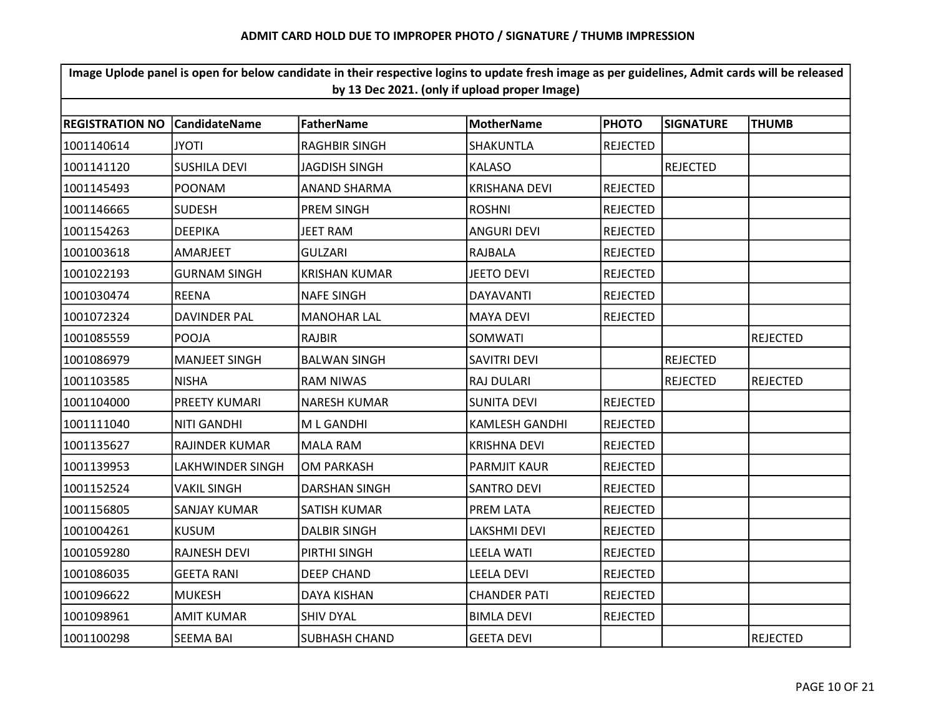| Image Uplode panel is open for below candidate in their respective logins to update fresh image as per guidelines, Admit cards will be released<br>by 13 Dec 2021. (only if upload proper Image) |                         |                      |                       |                 |                  |                 |  |  |  |
|--------------------------------------------------------------------------------------------------------------------------------------------------------------------------------------------------|-------------------------|----------------------|-----------------------|-----------------|------------------|-----------------|--|--|--|
|                                                                                                                                                                                                  |                         |                      |                       |                 |                  |                 |  |  |  |
| <b>REGISTRATION NO</b>                                                                                                                                                                           | <b>CandidateName</b>    | <b>FatherName</b>    | <b>MotherName</b>     | <b>PHOTO</b>    | <b>SIGNATURE</b> | <b>THUMB</b>    |  |  |  |
| 1001140614                                                                                                                                                                                       | <b>ITOYL</b>            | <b>RAGHBIR SINGH</b> | SHAKUNTLA             | <b>REJECTED</b> |                  |                 |  |  |  |
| 1001141120                                                                                                                                                                                       | <b>SUSHILA DEVI</b>     | JAGDISH SINGH        | <b>KALASO</b>         |                 | <b>REJECTED</b>  |                 |  |  |  |
| 1001145493                                                                                                                                                                                       | POONAM                  | <b>ANAND SHARMA</b>  | <b>KRISHANA DEVI</b>  | <b>REJECTED</b> |                  |                 |  |  |  |
| 1001146665                                                                                                                                                                                       | <b>SUDESH</b>           | <b>PREM SINGH</b>    | <b>ROSHNI</b>         | REJECTED        |                  |                 |  |  |  |
| 1001154263                                                                                                                                                                                       | <b>DEEPIKA</b>          | JEET RAM             | ANGURI DEVI           | <b>REJECTED</b> |                  |                 |  |  |  |
| 1001003618                                                                                                                                                                                       | AMARJEET                | <b>GULZARI</b>       | RAJBALA               | <b>REJECTED</b> |                  |                 |  |  |  |
| 1001022193                                                                                                                                                                                       | <b>GURNAM SINGH</b>     | <b>KRISHAN KUMAR</b> | <b>JEETO DEVI</b>     | <b>REJECTED</b> |                  |                 |  |  |  |
| 1001030474                                                                                                                                                                                       | <b>REENA</b>            | <b>NAFE SINGH</b>    | <b>DAYAVANTI</b>      | <b>REJECTED</b> |                  |                 |  |  |  |
| 1001072324                                                                                                                                                                                       | <b>DAVINDER PAL</b>     | <b>MANOHAR LAL</b>   | MAYA DEVI             | <b>REJECTED</b> |                  |                 |  |  |  |
| 1001085559                                                                                                                                                                                       | POOJA                   | <b>RAJBIR</b>        | SOMWATI               |                 |                  | <b>REJECTED</b> |  |  |  |
| 1001086979                                                                                                                                                                                       | <b>MANJEET SINGH</b>    | <b>BALWAN SINGH</b>  | <b>SAVITRI DEVI</b>   |                 | <b>REJECTED</b>  |                 |  |  |  |
| 1001103585                                                                                                                                                                                       | <b>NISHA</b>            | <b>RAM NIWAS</b>     | <b>RAJ DULARI</b>     |                 | <b>REJECTED</b>  | <b>REJECTED</b> |  |  |  |
| 1001104000                                                                                                                                                                                       | <b>PREETY KUMARI</b>    | <b>NARESH KUMAR</b>  | <b>SUNITA DEVI</b>    | <b>REJECTED</b> |                  |                 |  |  |  |
| 1001111040                                                                                                                                                                                       | <b>NITI GANDHI</b>      | M L GANDHI           | <b>KAMLESH GANDHI</b> | <b>REJECTED</b> |                  |                 |  |  |  |
| 1001135627                                                                                                                                                                                       | <b>RAJINDER KUMAR</b>   | <b>MALA RAM</b>      | <b>KRISHNA DEVI</b>   | <b>REJECTED</b> |                  |                 |  |  |  |
| 1001139953                                                                                                                                                                                       | <b>LAKHWINDER SINGH</b> | <b>OM PARKASH</b>    | <b>PARMJIT KAUR</b>   | <b>REJECTED</b> |                  |                 |  |  |  |
| 1001152524                                                                                                                                                                                       | <b>VAKIL SINGH</b>      | <b>DARSHAN SINGH</b> | SANTRO DEVI           | <b>REJECTED</b> |                  |                 |  |  |  |
| 1001156805                                                                                                                                                                                       | <b>SANJAY KUMAR</b>     | SATISH KUMAR         | PREM LATA             | <b>REJECTED</b> |                  |                 |  |  |  |
| 1001004261                                                                                                                                                                                       | <b>KUSUM</b>            | <b>DALBIR SINGH</b>  | <b>LAKSHMI DEVI</b>   | <b>REJECTED</b> |                  |                 |  |  |  |
| 1001059280                                                                                                                                                                                       | <b>RAJNESH DEVI</b>     | PIRTHI SINGH         | <b>LEELA WATI</b>     | <b>REJECTED</b> |                  |                 |  |  |  |
| 1001086035                                                                                                                                                                                       | <b>GEETA RANI</b>       | <b>DEEP CHAND</b>    | <b>LEELA DEVI</b>     | <b>REJECTED</b> |                  |                 |  |  |  |
| 1001096622                                                                                                                                                                                       | <b>MUKESH</b>           | <b>DAYA KISHAN</b>   | <b>CHANDER PATI</b>   | <b>REJECTED</b> |                  |                 |  |  |  |
| 1001098961                                                                                                                                                                                       | <b>AMIT KUMAR</b>       | <b>SHIV DYAL</b>     | <b>BIMLA DEVI</b>     | <b>REJECTED</b> |                  |                 |  |  |  |
| 1001100298                                                                                                                                                                                       | <b>SEEMA BAI</b>        | <b>SUBHASH CHAND</b> | <b>GEETA DEVI</b>     |                 |                  | <b>REJECTED</b> |  |  |  |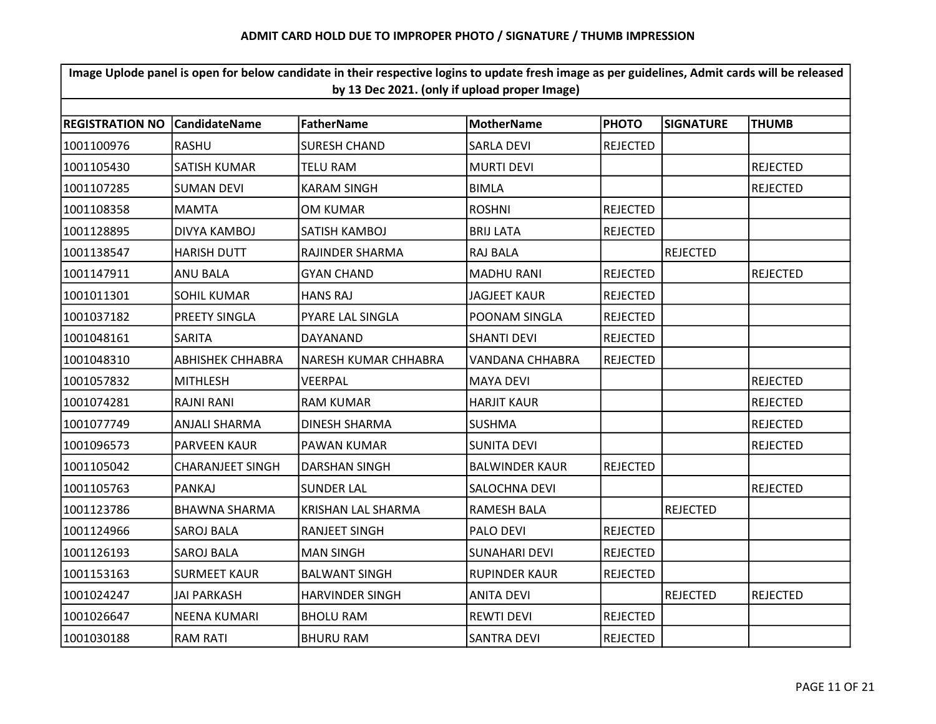| Image Uplode panel is open for below candidate in their respective logins to update fresh image as per guidelines, Admit cards will be released<br>by 13 Dec 2021. (only if upload proper Image) |                         |                        |                       |                 |                  |                 |  |  |
|--------------------------------------------------------------------------------------------------------------------------------------------------------------------------------------------------|-------------------------|------------------------|-----------------------|-----------------|------------------|-----------------|--|--|
|                                                                                                                                                                                                  |                         |                        |                       |                 |                  |                 |  |  |
| <b>REGISTRATION NO</b>                                                                                                                                                                           | <b>CandidateName</b>    | <b>FatherName</b>      | <b>MotherName</b>     | <b>PHOTO</b>    | <b>SIGNATURE</b> | <b>THUMB</b>    |  |  |
| 1001100976                                                                                                                                                                                       | <b>RASHU</b>            | <b>SURESH CHAND</b>    | <b>SARLA DEVI</b>     | <b>REJECTED</b> |                  |                 |  |  |
| 1001105430                                                                                                                                                                                       | SATISH KUMAR            | TELU RAM               | <b>MURTI DEVI</b>     |                 |                  | <b>REJECTED</b> |  |  |
| 1001107285                                                                                                                                                                                       | <b>SUMAN DEVI</b>       | <b>KARAM SINGH</b>     | <b>BIMLA</b>          |                 |                  | <b>REJECTED</b> |  |  |
| 1001108358                                                                                                                                                                                       | <b>MAMTA</b>            | OM KUMAR               | <b>ROSHNI</b>         | <b>REJECTED</b> |                  |                 |  |  |
| 1001128895                                                                                                                                                                                       | DIVYA KAMBOJ            | SATISH KAMBOJ          | <b>BRIJ LATA</b>      | <b>REJECTED</b> |                  |                 |  |  |
| 1001138547                                                                                                                                                                                       | <b>HARISH DUTT</b>      | RAJINDER SHARMA        | RAJ BALA              |                 | <b>REJECTED</b>  |                 |  |  |
| 1001147911                                                                                                                                                                                       | <b>ANU BALA</b>         | <b>GYAN CHAND</b>      | <b>MADHU RANI</b>     | <b>REJECTED</b> |                  | <b>REJECTED</b> |  |  |
| 1001011301                                                                                                                                                                                       | <b>SOHIL KUMAR</b>      | <b>HANS RAJ</b>        | <b>JAGJEET KAUR</b>   | REJECTED        |                  |                 |  |  |
| 1001037182                                                                                                                                                                                       | PREETY SINGLA           | PYARE LAL SINGLA       | POONAM SINGLA         | <b>REJECTED</b> |                  |                 |  |  |
| 1001048161                                                                                                                                                                                       | <b>SARITA</b>           | DAYANAND               | <b>SHANTI DEVI</b>    | <b>REJECTED</b> |                  |                 |  |  |
| 1001048310                                                                                                                                                                                       | <b>ABHISHEK CHHABRA</b> | NARESH KUMAR CHHABRA   | VANDANA CHHABRA       | <b>REJECTED</b> |                  |                 |  |  |
| 1001057832                                                                                                                                                                                       | <b>MITHLESH</b>         | VEERPAL                | <b>MAYA DEVI</b>      |                 |                  | <b>REJECTED</b> |  |  |
| 1001074281                                                                                                                                                                                       | RAJNI RANI              | <b>RAM KUMAR</b>       | <b>HARJIT KAUR</b>    |                 |                  | <b>REJECTED</b> |  |  |
| 1001077749                                                                                                                                                                                       | <b>ANJALI SHARMA</b>    | <b>DINESH SHARMA</b>   | <b>SUSHMA</b>         |                 |                  | <b>REJECTED</b> |  |  |
| 1001096573                                                                                                                                                                                       | <b>PARVEEN KAUR</b>     | PAWAN KUMAR            | <b>SUNITA DEVI</b>    |                 |                  | <b>REJECTED</b> |  |  |
| 1001105042                                                                                                                                                                                       | <b>CHARANJEET SINGH</b> | <b>DARSHAN SINGH</b>   | <b>BALWINDER KAUR</b> | REJECTED        |                  |                 |  |  |
| 1001105763                                                                                                                                                                                       | <b>PANKAJ</b>           | <b>SUNDER LAL</b>      | SALOCHNA DEVI         |                 |                  | <b>REJECTED</b> |  |  |
| 1001123786                                                                                                                                                                                       | <b>BHAWNA SHARMA</b>    | KRISHAN LAL SHARMA     | RAMESH BALA           |                 | <b>REJECTED</b>  |                 |  |  |
| 1001124966                                                                                                                                                                                       | <b>SAROJ BALA</b>       | <b>RANJEET SINGH</b>   | PALO DEVI             | <b>REJECTED</b> |                  |                 |  |  |
| 1001126193                                                                                                                                                                                       | <b>SAROJ BALA</b>       | <b>MAN SINGH</b>       | <b>SUNAHARI DEVI</b>  | <b>REJECTED</b> |                  |                 |  |  |
| 1001153163                                                                                                                                                                                       | <b>SURMEET KAUR</b>     | <b>BALWANT SINGH</b>   | RUPINDER KAUR         | <b>REJECTED</b> |                  |                 |  |  |
| 1001024247                                                                                                                                                                                       | <b>JAI PARKASH</b>      | <b>HARVINDER SINGH</b> | <b>ANITA DEVI</b>     |                 | <b>REJECTED</b>  | <b>REJECTED</b> |  |  |
| 1001026647                                                                                                                                                                                       | <b>NEENA KUMARI</b>     | <b>BHOLU RAM</b>       | <b>REWTI DEVI</b>     | <b>REJECTED</b> |                  |                 |  |  |
| 1001030188                                                                                                                                                                                       | <b>RAM RATI</b>         | <b>BHURU RAM</b>       | <b>SANTRA DEVI</b>    | REJECTED        |                  |                 |  |  |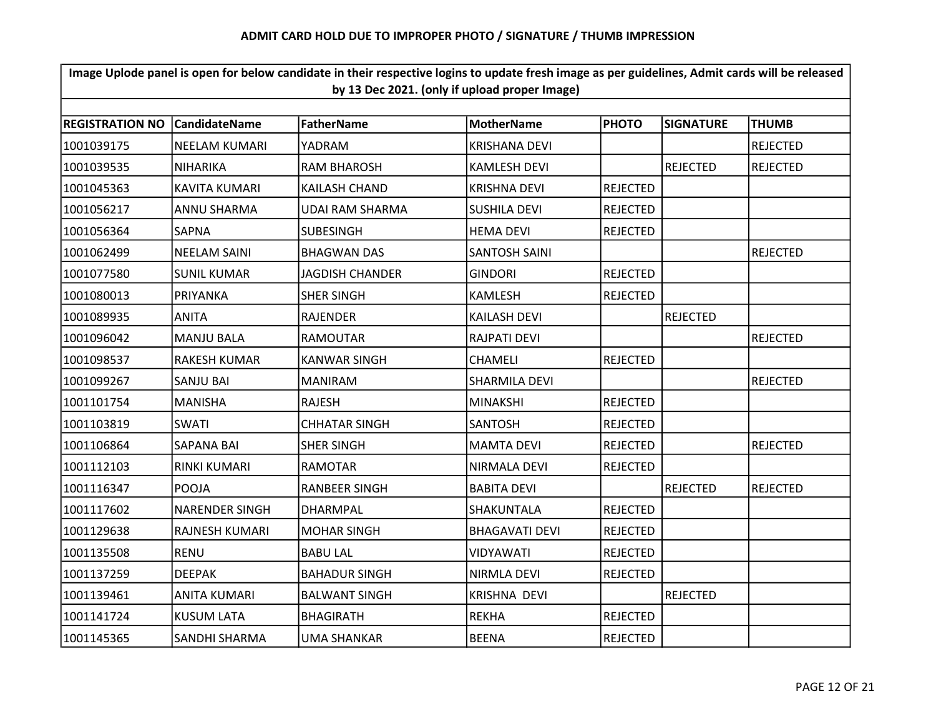| Image Uplode panel is open for below candidate in their respective logins to update fresh image as per guidelines, Admit cards will be released<br>by 13 Dec 2021. (only if upload proper Image) |                       |                        |                       |                 |                  |                 |  |  |  |
|--------------------------------------------------------------------------------------------------------------------------------------------------------------------------------------------------|-----------------------|------------------------|-----------------------|-----------------|------------------|-----------------|--|--|--|
|                                                                                                                                                                                                  |                       |                        |                       |                 |                  |                 |  |  |  |
| <b>REGISTRATION NO</b>                                                                                                                                                                           | l Candidate Name      | <b>FatherName</b>      | <b>MotherName</b>     | <b>PHOTO</b>    | <b>SIGNATURE</b> | <b>THUMB</b>    |  |  |  |
| 1001039175                                                                                                                                                                                       | NEELAM KUMARI         | YADRAM                 | <b>KRISHANA DEVI</b>  |                 |                  | <b>REJECTED</b> |  |  |  |
| 1001039535                                                                                                                                                                                       | <b>NIHARIKA</b>       | <b>RAM BHAROSH</b>     | <b>KAMLESH DEVI</b>   |                 | <b>REJECTED</b>  | <b>REJECTED</b> |  |  |  |
| 1001045363                                                                                                                                                                                       | <b>KAVITA KUMARI</b>  | <b>KAILASH CHAND</b>   | <b>KRISHNA DEVI</b>   | <b>REJECTED</b> |                  |                 |  |  |  |
| 1001056217                                                                                                                                                                                       | ANNU SHARMA           | UDAI RAM SHARMA        | <b>SUSHILA DEVI</b>   | <b>REJECTED</b> |                  |                 |  |  |  |
| 1001056364                                                                                                                                                                                       | SAPNA                 | SUBESINGH              | HEMA DEVI             | <b>REJECTED</b> |                  |                 |  |  |  |
| 1001062499                                                                                                                                                                                       | <b>NEELAM SAINI</b>   | <b>BHAGWAN DAS</b>     | <b>SANTOSH SAINI</b>  |                 |                  | <b>REJECTED</b> |  |  |  |
| 1001077580                                                                                                                                                                                       | <b>SUNIL KUMAR</b>    | <b>JAGDISH CHANDER</b> | <b>GINDORI</b>        | <b>REJECTED</b> |                  |                 |  |  |  |
| 1001080013                                                                                                                                                                                       | PRIYANKA              | <b>SHER SINGH</b>      | KAMLESH               | <b>REJECTED</b> |                  |                 |  |  |  |
| 1001089935                                                                                                                                                                                       | <b>ANITA</b>          | <b>RAJENDER</b>        | <b>KAILASH DEVI</b>   |                 | <b>REJECTED</b>  |                 |  |  |  |
| 1001096042                                                                                                                                                                                       | <b>MANJU BALA</b>     | <b>RAMOUTAR</b>        | <b>RAJPATI DEVI</b>   |                 |                  | <b>REJECTED</b> |  |  |  |
| 1001098537                                                                                                                                                                                       | <b>RAKESH KUMAR</b>   | <b>KANWAR SINGH</b>    | <b>CHAMELI</b>        | <b>REJECTED</b> |                  |                 |  |  |  |
| 1001099267                                                                                                                                                                                       | <b>SANJU BAI</b>      | <b>MANIRAM</b>         | SHARMILA DEVI         |                 |                  | <b>REJECTED</b> |  |  |  |
| 1001101754                                                                                                                                                                                       | <b>MANISHA</b>        | <b>RAJESH</b>          | <b>MINAKSHI</b>       | <b>REJECTED</b> |                  |                 |  |  |  |
| 1001103819                                                                                                                                                                                       | <b>SWATI</b>          | <b>CHHATAR SINGH</b>   | <b>SANTOSH</b>        | <b>REJECTED</b> |                  |                 |  |  |  |
| 1001106864                                                                                                                                                                                       | <b>SAPANA BAI</b>     | <b>SHER SINGH</b>      | <b>MAMTA DEVI</b>     | <b>REJECTED</b> |                  | <b>REJECTED</b> |  |  |  |
| 1001112103                                                                                                                                                                                       | RINKI KUMARI          | <b>RAMOTAR</b>         | NIRMALA DEVI          | <b>REJECTED</b> |                  |                 |  |  |  |
| 1001116347                                                                                                                                                                                       | <b>POOJA</b>          | RANBEER SINGH          | <b>BABITA DEVI</b>    |                 | <b>REJECTED</b>  | <b>REJECTED</b> |  |  |  |
| 1001117602                                                                                                                                                                                       | <b>NARENDER SINGH</b> | DHARMPAL               | SHAKUNTALA            | <b>REJECTED</b> |                  |                 |  |  |  |
| 1001129638                                                                                                                                                                                       | RAJNESH KUMARI        | <b>MOHAR SINGH</b>     | <b>BHAGAVATI DEVI</b> | <b>REJECTED</b> |                  |                 |  |  |  |
| 1001135508                                                                                                                                                                                       | <b>RENU</b>           | <b>BABU LAL</b>        | VIDYAWATI             | <b>REJECTED</b> |                  |                 |  |  |  |
| 1001137259                                                                                                                                                                                       | <b>DEEPAK</b>         | <b>BAHADUR SINGH</b>   | NIRMLA DEVI           | <b>REJECTED</b> |                  |                 |  |  |  |
| 1001139461                                                                                                                                                                                       | <b>ANITA KUMARI</b>   | <b>BALWANT SINGH</b>   | KRISHNA DEVI          |                 | <b>REJECTED</b>  |                 |  |  |  |
| 1001141724                                                                                                                                                                                       | <b>KUSUM LATA</b>     | <b>BHAGIRATH</b>       | <b>REKHA</b>          | <b>REJECTED</b> |                  |                 |  |  |  |
| 1001145365                                                                                                                                                                                       | SANDHI SHARMA         | UMA SHANKAR            | <b>BEENA</b>          | <b>REJECTED</b> |                  |                 |  |  |  |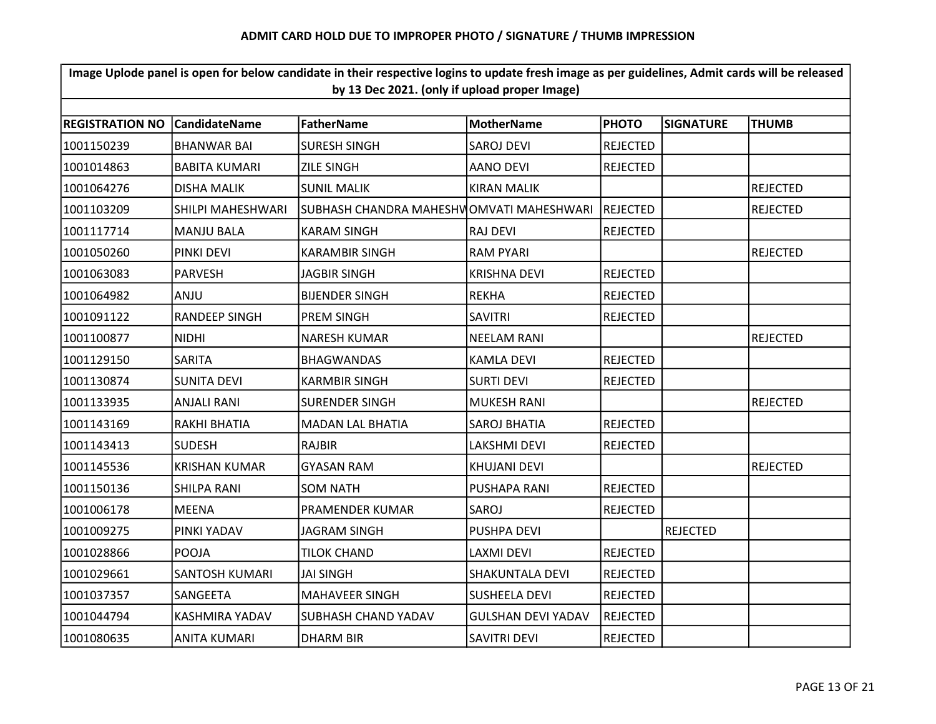| Image Uplode panel is open for below candidate in their respective logins to update fresh image as per guidelines, Admit cards will be released<br>by 13 Dec 2021. (only if upload proper Image) |                       |                                          |                           |                 |                  |                 |  |  |
|--------------------------------------------------------------------------------------------------------------------------------------------------------------------------------------------------|-----------------------|------------------------------------------|---------------------------|-----------------|------------------|-----------------|--|--|
|                                                                                                                                                                                                  |                       |                                          |                           |                 |                  |                 |  |  |
| <b>REGISTRATION NO</b>                                                                                                                                                                           | <b>CandidateName</b>  | FatherName                               | <b>MotherName</b>         | <b>PHOTO</b>    | <b>SIGNATURE</b> | <b>THUMB</b>    |  |  |
| 1001150239                                                                                                                                                                                       | <b>BHANWAR BAI</b>    | <b>SURESH SINGH</b>                      | <b>SAROJ DEVI</b>         | <b>REJECTED</b> |                  |                 |  |  |
| 1001014863                                                                                                                                                                                       | <b>BABITA KUMARI</b>  | <b>ZILE SINGH</b>                        | <b>AANO DEVI</b>          | <b>REJECTED</b> |                  |                 |  |  |
| 1001064276                                                                                                                                                                                       | <b>DISHA MALIK</b>    | <b>SUNIL MALIK</b>                       | <b>KIRAN MALIK</b>        |                 |                  | <b>REJECTED</b> |  |  |
| 1001103209                                                                                                                                                                                       | SHILPI MAHESHWARI     | SUBHASH CHANDRA MAHESHWOMVATI MAHESHWARI |                           | <b>REJECTED</b> |                  | <b>REJECTED</b> |  |  |
| 1001117714                                                                                                                                                                                       | <b>MANJU BALA</b>     | <b>KARAM SINGH</b>                       | <b>RAJ DEVI</b>           | <b>REJECTED</b> |                  |                 |  |  |
| 1001050260                                                                                                                                                                                       | <b>PINKI DEVI</b>     | <b>KARAMBIR SINGH</b>                    | <b>RAM PYARI</b>          |                 |                  | <b>REJECTED</b> |  |  |
| 1001063083                                                                                                                                                                                       | <b>PARVESH</b>        | <b>JAGBIR SINGH</b>                      | <b>KRISHNA DEVI</b>       | <b>REJECTED</b> |                  |                 |  |  |
| 1001064982                                                                                                                                                                                       | ANJU                  | <b>BIJENDER SINGH</b>                    | <b>REKHA</b>              | <b>REJECTED</b> |                  |                 |  |  |
| 1001091122                                                                                                                                                                                       | <b>RANDEEP SINGH</b>  | <b>PREM SINGH</b>                        | <b>SAVITRI</b>            | <b>REJECTED</b> |                  |                 |  |  |
| 1001100877                                                                                                                                                                                       | <b>NIDHI</b>          | <b>NARESH KUMAR</b>                      | <b>NEELAM RANI</b>        |                 |                  | <b>REJECTED</b> |  |  |
| 1001129150                                                                                                                                                                                       | <b>SARITA</b>         | <b>BHAGWANDAS</b>                        | <b>KAMLA DEVI</b>         | <b>REJECTED</b> |                  |                 |  |  |
| 1001130874                                                                                                                                                                                       | <b>SUNITA DEVI</b>    | <b>KARMBIR SINGH</b>                     | <b>SURTI DEVI</b>         | <b>REJECTED</b> |                  |                 |  |  |
| 1001133935                                                                                                                                                                                       | <b>ANJALI RANI</b>    | <b>SURENDER SINGH</b>                    | <b>MUKESH RANI</b>        |                 |                  | <b>REJECTED</b> |  |  |
| 1001143169                                                                                                                                                                                       | RAKHI BHATIA          | <b>MADAN LAL BHATIA</b>                  | <b>SAROJ BHATIA</b>       | <b>REJECTED</b> |                  |                 |  |  |
| 1001143413                                                                                                                                                                                       | <b>SUDESH</b>         | <b>RAJBIR</b>                            | LAKSHMI DEVI              | <b>REJECTED</b> |                  |                 |  |  |
| 1001145536                                                                                                                                                                                       | <b>KRISHAN KUMAR</b>  | <b>GYASAN RAM</b>                        | <b>KHUJANI DEVI</b>       |                 |                  | <b>REJECTED</b> |  |  |
| 1001150136                                                                                                                                                                                       | SHILPA RANI           | SOM NATH                                 | PUSHAPA RANI              | <b>REJECTED</b> |                  |                 |  |  |
| 1001006178                                                                                                                                                                                       | <b>MEENA</b>          | PRAMENDER KUMAR                          | SAROJ                     | <b>REJECTED</b> |                  |                 |  |  |
| 1001009275                                                                                                                                                                                       | PINKI YADAV           | <b>JAGRAM SINGH</b>                      | PUSHPA DEVI               |                 | <b>REJECTED</b>  |                 |  |  |
| 1001028866                                                                                                                                                                                       | POOJA                 | <b>TILOK CHAND</b>                       | LAXMI DEVI                | <b>REJECTED</b> |                  |                 |  |  |
| 1001029661                                                                                                                                                                                       | <b>SANTOSH KUMARI</b> | JAI SINGH                                | SHAKUNTALA DEVI           | <b>REJECTED</b> |                  |                 |  |  |
| 1001037357                                                                                                                                                                                       | SANGEETA              | MAHAVEER SINGH                           | <b>SUSHEELA DEVI</b>      | <b>REJECTED</b> |                  |                 |  |  |
| 1001044794                                                                                                                                                                                       | <b>KASHMIRA YADAV</b> | SUBHASH CHAND YADAV                      | <b>GULSHAN DEVI YADAV</b> | <b>REJECTED</b> |                  |                 |  |  |
| 1001080635                                                                                                                                                                                       | <b>ANITA KUMARI</b>   | <b>DHARM BIR</b>                         | <b>SAVITRI DEVI</b>       | <b>REJECTED</b> |                  |                 |  |  |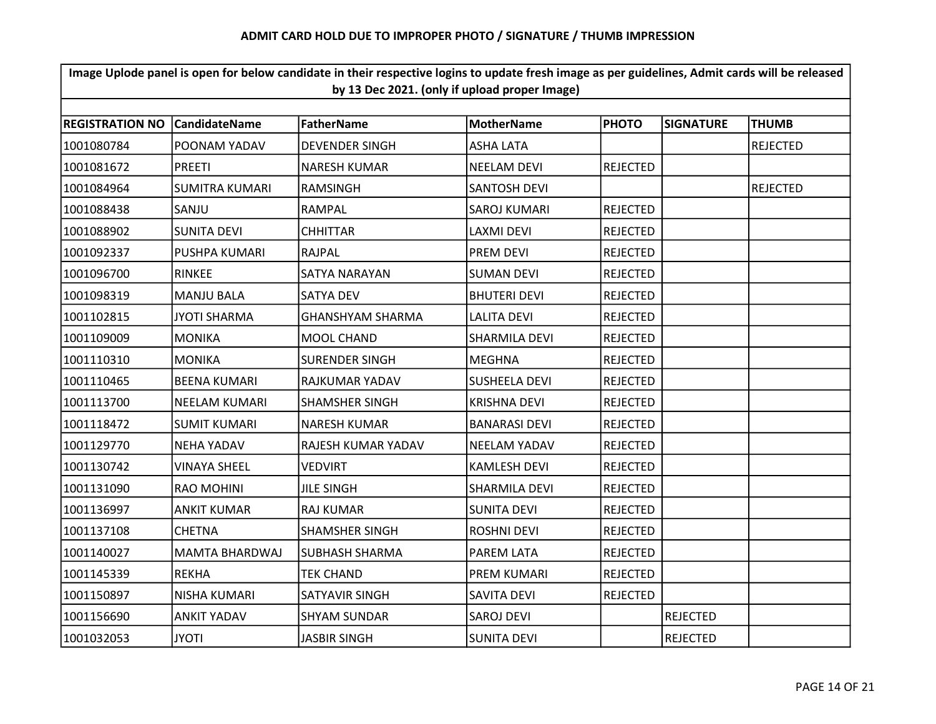| Image Uplode panel is open for below candidate in their respective logins to update fresh image as per guidelines, Admit cards will be released<br>by 13 Dec 2021. (only if upload proper Image) |                       |                         |                      |                 |                  |                 |  |
|--------------------------------------------------------------------------------------------------------------------------------------------------------------------------------------------------|-----------------------|-------------------------|----------------------|-----------------|------------------|-----------------|--|
| <b>REGISTRATION NO</b>                                                                                                                                                                           | <b>CandidateName</b>  | <b>FatherName</b>       | <b>MotherName</b>    | <b>PHOTO</b>    | <b>SIGNATURE</b> | <b>THUMB</b>    |  |
| 1001080784                                                                                                                                                                                       | POONAM YADAV          | <b>DEVENDER SINGH</b>   | <b>ASHA LATA</b>     |                 |                  | <b>REJECTED</b> |  |
| 1001081672                                                                                                                                                                                       | <b>PREETI</b>         | <b>NARESH KUMAR</b>     | <b>NEELAM DEVI</b>   | <b>REJECTED</b> |                  |                 |  |
| 1001084964                                                                                                                                                                                       | <b>SUMITRA KUMARI</b> | RAMSINGH                | <b>SANTOSH DEVI</b>  |                 |                  | <b>REJECTED</b> |  |
|                                                                                                                                                                                                  |                       | RAMPAL                  |                      | <b>REJECTED</b> |                  |                 |  |
| 1001088438                                                                                                                                                                                       | SANJU                 |                         | SAROJ KUMARI         |                 |                  |                 |  |
| 1001088902                                                                                                                                                                                       | <b>SUNITA DEVI</b>    | <b>CHHITTAR</b>         | <b>LAXMI DEVI</b>    | <b>REJECTED</b> |                  |                 |  |
| 1001092337                                                                                                                                                                                       | PUSHPA KUMARI         | <b>RAJPAL</b>           | PREM DEVI            | <b>REJECTED</b> |                  |                 |  |
| 1001096700                                                                                                                                                                                       | <b>RINKEE</b>         | SATYA NARAYAN           | <b>SUMAN DEVI</b>    | <b>REJECTED</b> |                  |                 |  |
| 1001098319                                                                                                                                                                                       | <b>MANJU BALA</b>     | <b>SATYA DEV</b>        | <b>BHUTERI DEVI</b>  | <b>REJECTED</b> |                  |                 |  |
| 1001102815                                                                                                                                                                                       | <b>JYOTI SHARMA</b>   | <b>GHANSHYAM SHARMA</b> | <b>LALITA DEVI</b>   | <b>REJECTED</b> |                  |                 |  |
| 1001109009                                                                                                                                                                                       | <b>MONIKA</b>         | MOOL CHAND              | SHARMILA DEVI        | <b>REJECTED</b> |                  |                 |  |
| 1001110310                                                                                                                                                                                       | <b>MONIKA</b>         | <b>SURENDER SINGH</b>   | <b>MEGHNA</b>        | <b>REJECTED</b> |                  |                 |  |
| 1001110465                                                                                                                                                                                       | <b>BEENA KUMARI</b>   | RAJKUMAR YADAV          | <b>SUSHEELA DEVI</b> | <b>REJECTED</b> |                  |                 |  |
| 1001113700                                                                                                                                                                                       | <b>NEELAM KUMARI</b>  | <b>SHAMSHER SINGH</b>   | <b>KRISHNA DEVI</b>  | <b>REJECTED</b> |                  |                 |  |
| 1001118472                                                                                                                                                                                       | <b>SUMIT KUMARI</b>   | <b>NARESH KUMAR</b>     | <b>BANARASI DEVI</b> | <b>REJECTED</b> |                  |                 |  |
| 1001129770                                                                                                                                                                                       | <b>NEHA YADAV</b>     | RAJESH KUMAR YADAV      | <b>NEELAM YADAV</b>  | <b>REJECTED</b> |                  |                 |  |
| 1001130742                                                                                                                                                                                       | <b>VINAYA SHEEL</b>   | <b>VEDVIRT</b>          | <b>KAMLESH DEVI</b>  | <b>REJECTED</b> |                  |                 |  |
| 1001131090                                                                                                                                                                                       | <b>RAO MOHINI</b>     | <b>JILE SINGH</b>       | <b>SHARMILA DEVI</b> | <b>REJECTED</b> |                  |                 |  |
| 1001136997                                                                                                                                                                                       | <b>ANKIT KUMAR</b>    | <b>RAJ KUMAR</b>        | <b>SUNITA DEVI</b>   | <b>REJECTED</b> |                  |                 |  |
| 1001137108                                                                                                                                                                                       | <b>CHETNA</b>         | <b>SHAMSHER SINGH</b>   | <b>ROSHNI DEVI</b>   | <b>REJECTED</b> |                  |                 |  |
| 1001140027                                                                                                                                                                                       | <b>MAMTA BHARDWAJ</b> | <b>SUBHASH SHARMA</b>   | PAREM LATA           | <b>REJECTED</b> |                  |                 |  |
| 1001145339                                                                                                                                                                                       | <b>REKHA</b>          | <b>TEK CHAND</b>        | PREM KUMARI          | <b>REJECTED</b> |                  |                 |  |
| 1001150897                                                                                                                                                                                       | NISHA KUMARI          | SATYAVIR SINGH          | <b>SAVITA DEVI</b>   | <b>REJECTED</b> |                  |                 |  |
| 1001156690                                                                                                                                                                                       | <b>ANKIT YADAV</b>    | <b>SHYAM SUNDAR</b>     | SAROJ DEVI           |                 | <b>REJECTED</b>  |                 |  |
| 1001032053                                                                                                                                                                                       | <b>JYOTI</b>          | <b>JASBIR SINGH</b>     | <b>SUNITA DEVI</b>   |                 | <b>REJECTED</b>  |                 |  |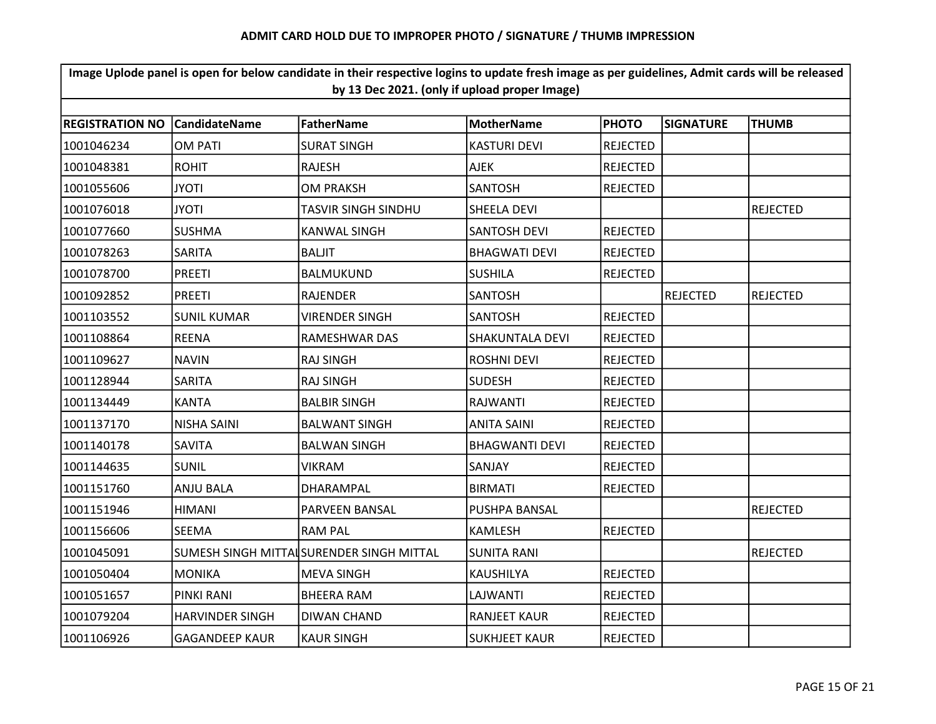| Image Uplode panel is open for below candidate in their respective logins to update fresh image as per guidelines, Admit cards will be released<br>by 13 Dec 2021. (only if upload proper Image) |                        |                                          |                        |                 |                  |                 |  |  |
|--------------------------------------------------------------------------------------------------------------------------------------------------------------------------------------------------|------------------------|------------------------------------------|------------------------|-----------------|------------------|-----------------|--|--|
|                                                                                                                                                                                                  |                        |                                          |                        |                 |                  |                 |  |  |
| <b>REGISTRATION NO</b>                                                                                                                                                                           | <b>CandidateName</b>   | <b>FatherName</b>                        | <b>MotherName</b>      | <b>PHOTO</b>    | <b>SIGNATURE</b> | <b>THUMB</b>    |  |  |
| 1001046234                                                                                                                                                                                       | <b>OM PATI</b>         | <b>SURAT SINGH</b>                       | <b>KASTURI DEVI</b>    | <b>REJECTED</b> |                  |                 |  |  |
| 1001048381                                                                                                                                                                                       | <b>ROHIT</b>           | <b>RAJESH</b>                            | <b>AJEK</b>            | <b>REJECTED</b> |                  |                 |  |  |
| 1001055606                                                                                                                                                                                       | <b>JYOTI</b>           | <b>OM PRAKSH</b>                         | <b>SANTOSH</b>         | <b>REJECTED</b> |                  |                 |  |  |
| 1001076018                                                                                                                                                                                       | <b>JYOTI</b>           | TASVIR SINGH SINDHU                      | SHEELA DEVI            |                 |                  | <b>REJECTED</b> |  |  |
| 1001077660                                                                                                                                                                                       | <b>SUSHMA</b>          | <b>KANWAL SINGH</b>                      | <b>SANTOSH DEVI</b>    | <b>REJECTED</b> |                  |                 |  |  |
| 1001078263                                                                                                                                                                                       | <b>SARITA</b>          | <b>BALJIT</b>                            | <b>BHAGWATI DEVI</b>   | <b>REJECTED</b> |                  |                 |  |  |
| 1001078700                                                                                                                                                                                       | <b>PREETI</b>          | BALMUKUND                                | <b>SUSHILA</b>         | <b>REJECTED</b> |                  |                 |  |  |
| 1001092852                                                                                                                                                                                       | <b>PREETI</b>          | <b>RAJENDER</b>                          | <b>SANTOSH</b>         |                 | <b>REJECTED</b>  | <b>REJECTED</b> |  |  |
| 1001103552                                                                                                                                                                                       | <b>SUNIL KUMAR</b>     | <b>VIRENDER SINGH</b>                    | <b>SANTOSH</b>         | <b>REJECTED</b> |                  |                 |  |  |
| 1001108864                                                                                                                                                                                       | <b>REENA</b>           | RAMESHWAR DAS                            | <b>SHAKUNTALA DEVI</b> | <b>REJECTED</b> |                  |                 |  |  |
| 1001109627                                                                                                                                                                                       | <b>NAVIN</b>           | <b>RAJ SINGH</b>                         | <b>ROSHNI DEVI</b>     | <b>REJECTED</b> |                  |                 |  |  |
| 1001128944                                                                                                                                                                                       | <b>SARITA</b>          | <b>RAJ SINGH</b>                         | <b>SUDESH</b>          | <b>REJECTED</b> |                  |                 |  |  |
| 1001134449                                                                                                                                                                                       | <b>KANTA</b>           | <b>BALBIR SINGH</b>                      | RAJWANTI               | <b>REJECTED</b> |                  |                 |  |  |
| 1001137170                                                                                                                                                                                       | <b>NISHA SAINI</b>     | <b>BALWANT SINGH</b>                     | <b>ANITA SAINI</b>     | <b>REJECTED</b> |                  |                 |  |  |
| 1001140178                                                                                                                                                                                       | <b>SAVITA</b>          | <b>BALWAN SINGH</b>                      | <b>BHAGWANTI DEVI</b>  | <b>REJECTED</b> |                  |                 |  |  |
| 1001144635                                                                                                                                                                                       | <b>SUNIL</b>           | <b>VIKRAM</b>                            | SANJAY                 | <b>REJECTED</b> |                  |                 |  |  |
| 1001151760                                                                                                                                                                                       | <b>ANJU BALA</b>       | DHARAMPAL                                | <b>BIRMATI</b>         | <b>REJECTED</b> |                  |                 |  |  |
| 1001151946                                                                                                                                                                                       | <b>HIMANI</b>          | PARVEEN BANSAL                           | PUSHPA BANSAL          |                 |                  | <b>REJECTED</b> |  |  |
| 1001156606                                                                                                                                                                                       | <b>SEEMA</b>           | RAM PAL                                  | <b>KAMLESH</b>         | <b>REJECTED</b> |                  |                 |  |  |
| 1001045091                                                                                                                                                                                       |                        | SUMESH SINGH MITTAISURENDER SINGH MITTAL | <b>SUNITA RANI</b>     |                 |                  | <b>REJECTED</b> |  |  |
| 1001050404                                                                                                                                                                                       | <b>MONIKA</b>          | <b>MEVA SINGH</b>                        | KAUSHILYA              | <b>REJECTED</b> |                  |                 |  |  |
| 1001051657                                                                                                                                                                                       | PINKI RANI             | <b>BHEERA RAM</b>                        | LAJWANTI               | <b>REJECTED</b> |                  |                 |  |  |
| 1001079204                                                                                                                                                                                       | <b>HARVINDER SINGH</b> | <b>DIWAN CHAND</b>                       | <b>RANJEET KAUR</b>    | <b>REJECTED</b> |                  |                 |  |  |
| 1001106926                                                                                                                                                                                       | <b>GAGANDEEP KAUR</b>  | <b>KAUR SINGH</b>                        | <b>SUKHJEET KAUR</b>   | <b>REJECTED</b> |                  |                 |  |  |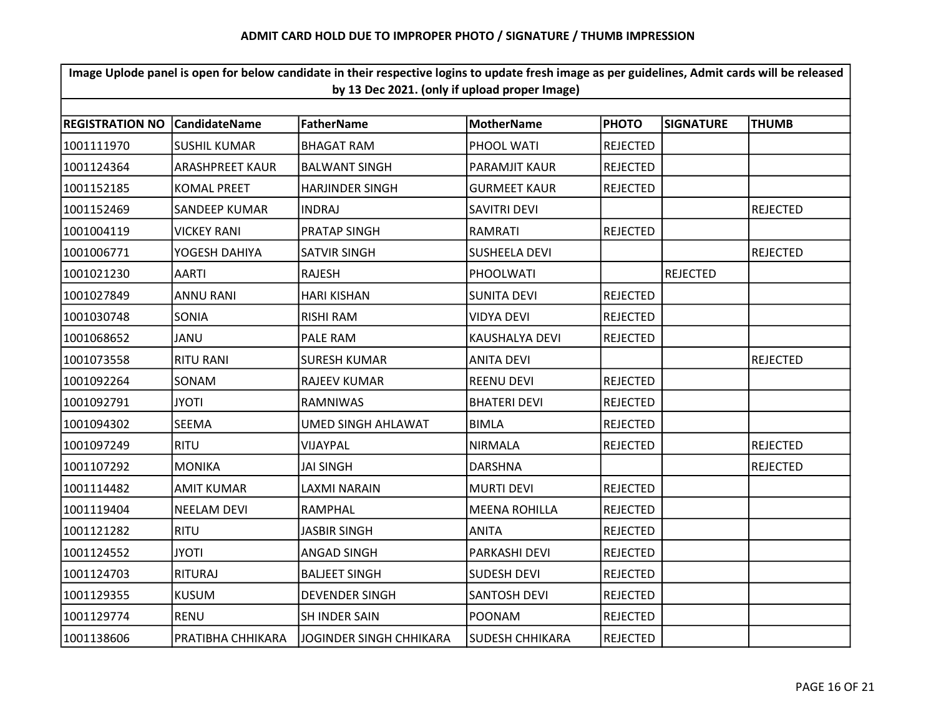| Image Uplode panel is open for below candidate in their respective logins to update fresh image as per guidelines, Admit cards will be released<br>by 13 Dec 2021. (only if upload proper Image) |                        |                           |                        |                 |                  |                 |  |  |  |  |
|--------------------------------------------------------------------------------------------------------------------------------------------------------------------------------------------------|------------------------|---------------------------|------------------------|-----------------|------------------|-----------------|--|--|--|--|
|                                                                                                                                                                                                  |                        |                           |                        |                 |                  |                 |  |  |  |  |
| <b>REGISTRATION NO</b>                                                                                                                                                                           | <b>CandidateName</b>   | <b>FatherName</b>         | <b>MotherName</b>      | <b>PHOTO</b>    | <b>SIGNATURE</b> | <b>THUMB</b>    |  |  |  |  |
| 1001111970                                                                                                                                                                                       | <b>SUSHIL KUMAR</b>    | <b>BHAGAT RAM</b>         | PHOOL WATI             | <b>REJECTED</b> |                  |                 |  |  |  |  |
| 1001124364                                                                                                                                                                                       | <b>ARASHPREET KAUR</b> | <b>BALWANT SINGH</b>      | PARAMJIT KAUR          | <b>REJECTED</b> |                  |                 |  |  |  |  |
| 1001152185                                                                                                                                                                                       | <b>KOMAL PREET</b>     | <b>HARJINDER SINGH</b>    | <b>GURMEET KAUR</b>    | <b>REJECTED</b> |                  |                 |  |  |  |  |
| 1001152469                                                                                                                                                                                       | SANDEEP KUMAR          | <b>INDRAJ</b>             | SAVITRI DEVI           |                 |                  | <b>REJECTED</b> |  |  |  |  |
| 1001004119                                                                                                                                                                                       | <b>VICKEY RANI</b>     | PRATAP SINGH              | RAMRATI                | <b>REJECTED</b> |                  |                 |  |  |  |  |
| 1001006771                                                                                                                                                                                       | YOGESH DAHIYA          | <b>SATVIR SINGH</b>       | <b>SUSHEELA DEVI</b>   |                 |                  | <b>REJECTED</b> |  |  |  |  |
| 1001021230                                                                                                                                                                                       | <b>AARTI</b>           | <b>RAJESH</b>             | PHOOLWATI              |                 | <b>REJECTED</b>  |                 |  |  |  |  |
| 1001027849                                                                                                                                                                                       | <b>ANNU RANI</b>       | <b>HARI KISHAN</b>        | <b>SUNITA DEVI</b>     | <b>REJECTED</b> |                  |                 |  |  |  |  |
| 1001030748                                                                                                                                                                                       | SONIA                  | <b>RISHI RAM</b>          | VIDYA DEVI             | <b>REJECTED</b> |                  |                 |  |  |  |  |
| 1001068652                                                                                                                                                                                       | JANU                   | PALE RAM                  | KAUSHALYA DEVI         | <b>REJECTED</b> |                  |                 |  |  |  |  |
| 1001073558                                                                                                                                                                                       | <b>RITU RANI</b>       | <b>SURESH KUMAR</b>       | <b>ANITA DEVI</b>      |                 |                  | <b>REJECTED</b> |  |  |  |  |
| 1001092264                                                                                                                                                                                       | SONAM                  | <b>RAJEEV KUMAR</b>       | <b>REENU DEVI</b>      | <b>REJECTED</b> |                  |                 |  |  |  |  |
| 1001092791                                                                                                                                                                                       | <b>JYOTI</b>           | <b>RAMNIWAS</b>           | <b>BHATERI DEVI</b>    | <b>REJECTED</b> |                  |                 |  |  |  |  |
| 1001094302                                                                                                                                                                                       | SEEMA                  | <b>UMED SINGH AHLAWAT</b> | <b>BIMLA</b>           | <b>REJECTED</b> |                  |                 |  |  |  |  |
| 1001097249                                                                                                                                                                                       | <b>RITU</b>            | VIJAYPAL                  | <b>NIRMALA</b>         | <b>REJECTED</b> |                  | <b>REJECTED</b> |  |  |  |  |
| 1001107292                                                                                                                                                                                       | <b>MONIKA</b>          | <b>JAI SINGH</b>          | <b>DARSHNA</b>         |                 |                  | <b>REJECTED</b> |  |  |  |  |
| 1001114482                                                                                                                                                                                       | <b>AMIT KUMAR</b>      | LAXMI NARAIN              | <b>MURTI DEVI</b>      | REJECTED        |                  |                 |  |  |  |  |
| 1001119404                                                                                                                                                                                       | <b>NEELAM DEVI</b>     | <b>RAMPHAL</b>            | <b>MEENA ROHILLA</b>   | <b>REJECTED</b> |                  |                 |  |  |  |  |
| 1001121282                                                                                                                                                                                       | <b>RITU</b>            | <b>JASBIR SINGH</b>       | <b>ANITA</b>           | <b>REJECTED</b> |                  |                 |  |  |  |  |
| 1001124552                                                                                                                                                                                       | <b>JYOTI</b>           | <b>ANGAD SINGH</b>        | PARKASHI DEVI          | <b>REJECTED</b> |                  |                 |  |  |  |  |
| 1001124703                                                                                                                                                                                       | <b>RITURAJ</b>         | <b>BALJEET SINGH</b>      | <b>SUDESH DEVI</b>     | <b>REJECTED</b> |                  |                 |  |  |  |  |
| 1001129355                                                                                                                                                                                       | <b>KUSUM</b>           | <b>DEVENDER SINGH</b>     | <b>SANTOSH DEVI</b>    | <b>REJECTED</b> |                  |                 |  |  |  |  |
| 1001129774                                                                                                                                                                                       | <b>RENU</b>            | SH INDER SAIN             | <b>POONAM</b>          | <b>REJECTED</b> |                  |                 |  |  |  |  |
| 1001138606                                                                                                                                                                                       | PRATIBHA CHHIKARA      | JOGINDER SINGH CHHIKARA   | <b>SUDESH CHHIKARA</b> | <b>REJECTED</b> |                  |                 |  |  |  |  |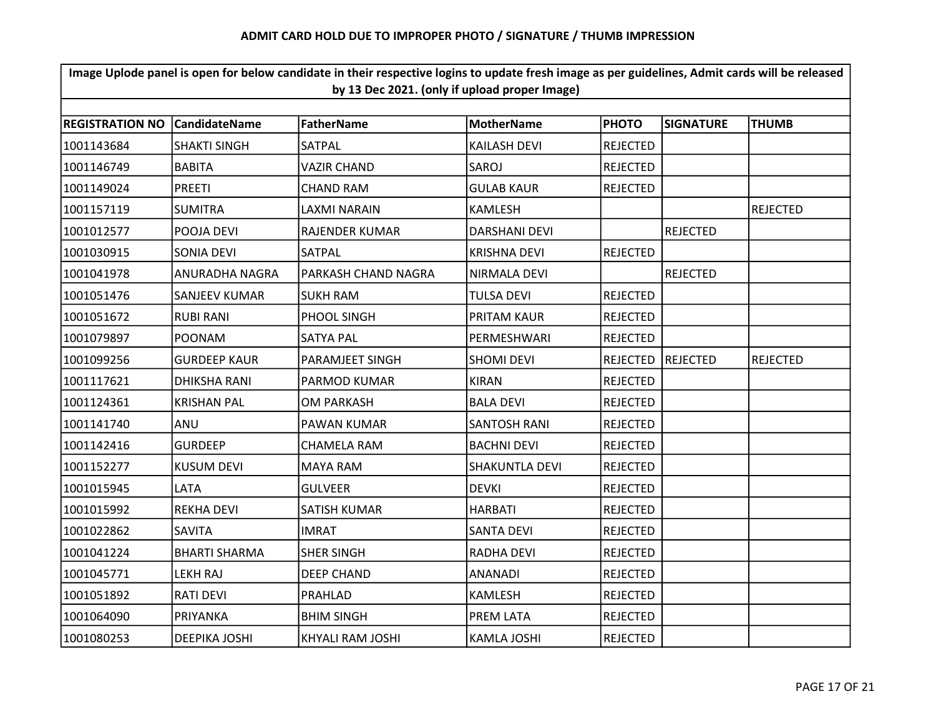| Image Uplode panel is open for below candidate in their respective logins to update fresh image as per guidelines, Admit cards will be released<br>by 13 Dec 2021. (only if upload proper Image) |                      |                     |                      |                 |                  |                 |  |  |
|--------------------------------------------------------------------------------------------------------------------------------------------------------------------------------------------------|----------------------|---------------------|----------------------|-----------------|------------------|-----------------|--|--|
|                                                                                                                                                                                                  |                      |                     |                      |                 |                  |                 |  |  |
| <b>REGISTRATION NO</b>                                                                                                                                                                           | <b>CandidateName</b> | <b>FatherName</b>   | <b>MotherName</b>    | <b>PHOTO</b>    | <b>SIGNATURE</b> | <b>THUMB</b>    |  |  |
| 1001143684                                                                                                                                                                                       | <b>SHAKTI SINGH</b>  | SATPAL              | <b>KAILASH DEVI</b>  | <b>REJECTED</b> |                  |                 |  |  |
| 1001146749                                                                                                                                                                                       | <b>BABITA</b>        | VAZIR CHAND         | SAROJ                | <b>REJECTED</b> |                  |                 |  |  |
| 1001149024                                                                                                                                                                                       | <b>PREETI</b>        | <b>CHAND RAM</b>    | <b>GULAB KAUR</b>    | <b>REJECTED</b> |                  |                 |  |  |
| 1001157119                                                                                                                                                                                       | <b>SUMITRA</b>       | LAXMI NARAIN        | <b>KAMLESH</b>       |                 |                  | <b>REJECTED</b> |  |  |
| 1001012577                                                                                                                                                                                       | POOJA DEVI           | RAJENDER KUMAR      | <b>DARSHANI DEVI</b> |                 | <b>REJECTED</b>  |                 |  |  |
| 1001030915                                                                                                                                                                                       | SONIA DEVI           | SATPAL              | <b>KRISHNA DEVI</b>  | <b>REJECTED</b> |                  |                 |  |  |
| 1001041978                                                                                                                                                                                       | ANURADHA NAGRA       | PARKASH CHAND NAGRA | NIRMALA DEVI         |                 | <b>REJECTED</b>  |                 |  |  |
| 1001051476                                                                                                                                                                                       | <b>SANJEEV KUMAR</b> | <b>SUKH RAM</b>     | TULSA DEVI           | <b>REJECTED</b> |                  |                 |  |  |
| 1001051672                                                                                                                                                                                       | <b>RUBI RANI</b>     | PHOOL SINGH         | PRITAM KAUR          | <b>REJECTED</b> |                  |                 |  |  |
| 1001079897                                                                                                                                                                                       | <b>POONAM</b>        | <b>SATYA PAL</b>    | PERMESHWARI          | <b>REJECTED</b> |                  |                 |  |  |
| 1001099256                                                                                                                                                                                       | <b>GURDEEP KAUR</b>  | PARAMJEET SINGH     | <b>SHOMI DEVI</b>    | <b>REJECTED</b> | REJECTED         | <b>REJECTED</b> |  |  |
| 1001117621                                                                                                                                                                                       | <b>DHIKSHA RANI</b>  | PARMOD KUMAR        | <b>KIRAN</b>         | <b>REJECTED</b> |                  |                 |  |  |
| 1001124361                                                                                                                                                                                       | <b>KRISHAN PAL</b>   | <b>OM PARKASH</b>   | <b>BALA DEVI</b>     | <b>REJECTED</b> |                  |                 |  |  |
| 1001141740                                                                                                                                                                                       | ANU                  | PAWAN KUMAR         | <b>SANTOSH RANI</b>  | <b>REJECTED</b> |                  |                 |  |  |
| 1001142416                                                                                                                                                                                       | <b>GURDEEP</b>       | <b>CHAMELA RAM</b>  | <b>BACHNI DEVI</b>   | <b>REJECTED</b> |                  |                 |  |  |
| 1001152277                                                                                                                                                                                       | <b>KUSUM DEVI</b>    | <b>MAYA RAM</b>     | SHAKUNTLA DEVI       | <b>REJECTED</b> |                  |                 |  |  |
| 1001015945                                                                                                                                                                                       | LATA                 | <b>GULVEER</b>      | <b>DEVKI</b>         | <b>REJECTED</b> |                  |                 |  |  |
| 1001015992                                                                                                                                                                                       | <b>REKHA DEVI</b>    | SATISH KUMAR        | <b>HARBATI</b>       | <b>REJECTED</b> |                  |                 |  |  |
| 1001022862                                                                                                                                                                                       | <b>SAVITA</b>        | <b>IMRAT</b>        | <b>SANTA DEVI</b>    | <b>REJECTED</b> |                  |                 |  |  |
| 1001041224                                                                                                                                                                                       | <b>BHARTI SHARMA</b> | <b>SHER SINGH</b>   | <b>RADHA DEVI</b>    | <b>REJECTED</b> |                  |                 |  |  |
| 1001045771                                                                                                                                                                                       | LEKH RAJ             | <b>DEEP CHAND</b>   | ANANADI              | <b>REJECTED</b> |                  |                 |  |  |
| 1001051892                                                                                                                                                                                       | <b>RATI DEVI</b>     | PRAHLAD             | KAMLESH              | <b>REJECTED</b> |                  |                 |  |  |
| 1001064090                                                                                                                                                                                       | PRIYANKA             | <b>BHIM SINGH</b>   | PREM LATA            | <b>REJECTED</b> |                  |                 |  |  |
| 1001080253                                                                                                                                                                                       | <b>DEEPIKA JOSHI</b> | KHYALI RAM JOSHI    | <b>KAMLA JOSHI</b>   | <b>REJECTED</b> |                  |                 |  |  |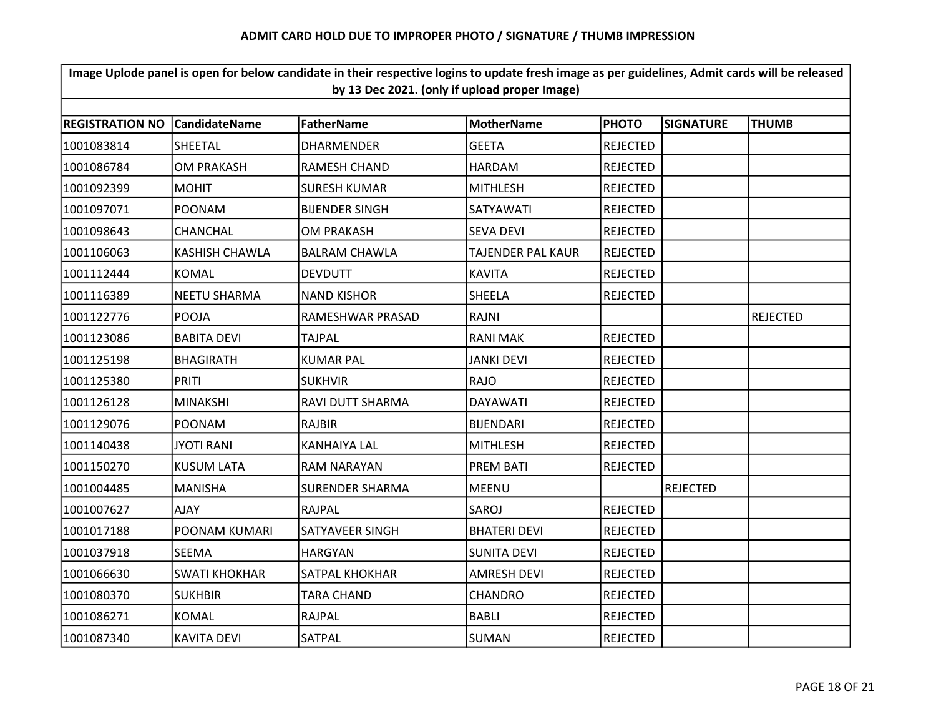| Image Uplode panel is open for below candidate in their respective logins to update fresh image as per guidelines, Admit cards will be released<br>by 13 Dec 2021. (only if upload proper Image) |                                                                                                                                              |                        |                     |                 |                 |                 |  |  |  |  |
|--------------------------------------------------------------------------------------------------------------------------------------------------------------------------------------------------|----------------------------------------------------------------------------------------------------------------------------------------------|------------------------|---------------------|-----------------|-----------------|-----------------|--|--|--|--|
|                                                                                                                                                                                                  | <b>FatherName</b><br><b>REGISTRATION NO</b><br><b>CandidateName</b><br><b>MotherName</b><br><b>PHOTO</b><br><b>SIGNATURE</b><br><b>THUMB</b> |                        |                     |                 |                 |                 |  |  |  |  |
|                                                                                                                                                                                                  |                                                                                                                                              |                        |                     |                 |                 |                 |  |  |  |  |
| 1001083814                                                                                                                                                                                       | SHEETAL                                                                                                                                      | <b>DHARMENDER</b>      | <b>GEETA</b>        | <b>REJECTED</b> |                 |                 |  |  |  |  |
| 1001086784                                                                                                                                                                                       | <b>OM PRAKASH</b>                                                                                                                            | <b>RAMESH CHAND</b>    | <b>HARDAM</b>       | <b>REJECTED</b> |                 |                 |  |  |  |  |
| 1001092399                                                                                                                                                                                       | <b>MOHIT</b>                                                                                                                                 | <b>SURESH KUMAR</b>    | <b>MITHLESH</b>     | <b>REJECTED</b> |                 |                 |  |  |  |  |
| 1001097071                                                                                                                                                                                       | <b>POONAM</b>                                                                                                                                | <b>BIJENDER SINGH</b>  | SATYAWATI           | REJECTED        |                 |                 |  |  |  |  |
| 1001098643                                                                                                                                                                                       | CHANCHAL                                                                                                                                     | <b>OM PRAKASH</b>      | <b>SEVA DEVI</b>    | <b>REJECTED</b> |                 |                 |  |  |  |  |
| 1001106063                                                                                                                                                                                       | <b>KASHISH CHAWLA</b>                                                                                                                        | <b>BALRAM CHAWLA</b>   | TAJENDER PAL KAUR   | <b>REJECTED</b> |                 |                 |  |  |  |  |
| 1001112444                                                                                                                                                                                       | <b>KOMAL</b>                                                                                                                                 | <b>DEVDUTT</b>         | <b>KAVITA</b>       | <b>REJECTED</b> |                 |                 |  |  |  |  |
| 1001116389                                                                                                                                                                                       | <b>NEETU SHARMA</b>                                                                                                                          | <b>NAND KISHOR</b>     | SHEELA              | <b>REJECTED</b> |                 |                 |  |  |  |  |
| 1001122776                                                                                                                                                                                       | <b>POOJA</b>                                                                                                                                 | RAMESHWAR PRASAD       | RAJNI               |                 |                 | <b>REJECTED</b> |  |  |  |  |
| 1001123086                                                                                                                                                                                       | <b>BABITA DEVI</b>                                                                                                                           | TAJPAL                 | <b>RANI MAK</b>     | <b>REJECTED</b> |                 |                 |  |  |  |  |
| 1001125198                                                                                                                                                                                       | <b>BHAGIRATH</b>                                                                                                                             | <b>KUMAR PAL</b>       | <b>JANKI DEVI</b>   | <b>REJECTED</b> |                 |                 |  |  |  |  |
| 1001125380                                                                                                                                                                                       | <b>PRITI</b>                                                                                                                                 | <b>SUKHVIR</b>         | <b>RAJO</b>         | <b>REJECTED</b> |                 |                 |  |  |  |  |
| 1001126128                                                                                                                                                                                       | <b>MINAKSHI</b>                                                                                                                              | RAVI DUTT SHARMA       | <b>DAYAWATI</b>     | <b>REJECTED</b> |                 |                 |  |  |  |  |
| 1001129076                                                                                                                                                                                       | <b>POONAM</b>                                                                                                                                | <b>RAJBIR</b>          | <b>BIJENDARI</b>    | <b>REJECTED</b> |                 |                 |  |  |  |  |
| 1001140438                                                                                                                                                                                       | <b>JYOTI RANI</b>                                                                                                                            | <b>KANHAIYA LAL</b>    | <b>MITHLESH</b>     | <b>REJECTED</b> |                 |                 |  |  |  |  |
| 1001150270                                                                                                                                                                                       | <b>KUSUM LATA</b>                                                                                                                            | <b>RAM NARAYAN</b>     | <b>PREM BATI</b>    | REJECTED        |                 |                 |  |  |  |  |
| 1001004485                                                                                                                                                                                       | <b>MANISHA</b>                                                                                                                               | <b>SURENDER SHARMA</b> | <b>MEENU</b>        |                 | <b>REJECTED</b> |                 |  |  |  |  |
| 1001007627                                                                                                                                                                                       | <b>AJAY</b>                                                                                                                                  | <b>RAJPAL</b>          | SAROJ               | <b>REJECTED</b> |                 |                 |  |  |  |  |
| 1001017188                                                                                                                                                                                       | POONAM KUMARI                                                                                                                                | SATYAVEER SINGH        | <b>BHATERI DEVI</b> | <b>REJECTED</b> |                 |                 |  |  |  |  |
| 1001037918                                                                                                                                                                                       | <b>SEEMA</b>                                                                                                                                 | <b>HARGYAN</b>         | <b>SUNITA DEVI</b>  | <b>REJECTED</b> |                 |                 |  |  |  |  |
| 1001066630                                                                                                                                                                                       | <b>SWATI KHOKHAR</b>                                                                                                                         | <b>SATPAL KHOKHAR</b>  | <b>AMRESH DEVI</b>  | <b>REJECTED</b> |                 |                 |  |  |  |  |
| 1001080370                                                                                                                                                                                       | <b>SUKHBIR</b>                                                                                                                               | <b>TARA CHAND</b>      | CHANDRO             | <b>REJECTED</b> |                 |                 |  |  |  |  |
| 1001086271                                                                                                                                                                                       | <b>KOMAL</b>                                                                                                                                 | RAJPAL                 | <b>BABLI</b>        | <b>REJECTED</b> |                 |                 |  |  |  |  |
| 1001087340                                                                                                                                                                                       | <b>KAVITA DEVI</b>                                                                                                                           | SATPAL                 | <b>SUMAN</b>        | <b>REJECTED</b> |                 |                 |  |  |  |  |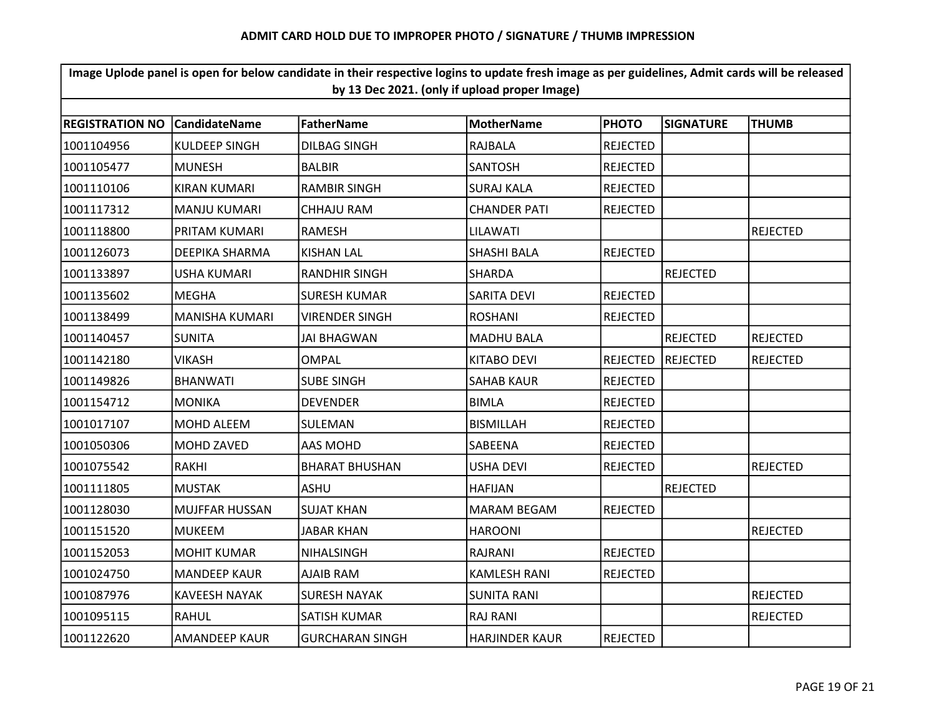| Image Uplode panel is open for below candidate in their respective logins to update fresh image as per guidelines, Admit cards will be released<br>by 13 Dec 2021. (only if upload proper Image) |                       |                        |                       |                 |                  |                 |  |  |
|--------------------------------------------------------------------------------------------------------------------------------------------------------------------------------------------------|-----------------------|------------------------|-----------------------|-----------------|------------------|-----------------|--|--|
|                                                                                                                                                                                                  |                       |                        |                       |                 |                  |                 |  |  |
| <b>REGISTRATION NO</b>                                                                                                                                                                           | <b>CandidateName</b>  | FatherName             | <b>MotherName</b>     | <b>PHOTO</b>    | <b>SIGNATURE</b> | <b>THUMB</b>    |  |  |
| 1001104956                                                                                                                                                                                       | <b>KULDEEP SINGH</b>  | <b>DILBAG SINGH</b>    | <b>RAJBALA</b>        | <b>REJECTED</b> |                  |                 |  |  |
| 1001105477                                                                                                                                                                                       | <b>MUNESH</b>         | <b>BALBIR</b>          | <b>SANTOSH</b>        | <b>REJECTED</b> |                  |                 |  |  |
| 1001110106                                                                                                                                                                                       | <b>KIRAN KUMARI</b>   | <b>RAMBIR SINGH</b>    | <b>SURAJ KALA</b>     | <b>REJECTED</b> |                  |                 |  |  |
| 1001117312                                                                                                                                                                                       | <b>MANJU KUMARI</b>   | CHHAJU RAM             | <b>CHANDER PATI</b>   | <b>REJECTED</b> |                  |                 |  |  |
| 1001118800                                                                                                                                                                                       | PRITAM KUMARI         | <b>RAMESH</b>          | LILAWATI              |                 |                  | <b>REJECTED</b> |  |  |
| 1001126073                                                                                                                                                                                       | DEEPIKA SHARMA        | <b>KISHAN LAL</b>      | SHASHI BALA           | <b>REJECTED</b> |                  |                 |  |  |
| 1001133897                                                                                                                                                                                       | <b>USHA KUMARI</b>    | <b>RANDHIR SINGH</b>   | <b>SHARDA</b>         |                 | <b>REJECTED</b>  |                 |  |  |
| 1001135602                                                                                                                                                                                       | <b>MEGHA</b>          | <b>SURESH KUMAR</b>    | <b>SARITA DEVI</b>    | <b>REJECTED</b> |                  |                 |  |  |
| 1001138499                                                                                                                                                                                       | <b>MANISHA KUMARI</b> | <b>VIRENDER SINGH</b>  | <b>ROSHANI</b>        | <b>REJECTED</b> |                  |                 |  |  |
| 1001140457                                                                                                                                                                                       | <b>SUNITA</b>         | <b>JAI BHAGWAN</b>     | <b>MADHU BALA</b>     |                 | <b>REJECTED</b>  | <b>REJECTED</b> |  |  |
| 1001142180                                                                                                                                                                                       | <b>VIKASH</b>         | <b>OMPAL</b>           | <b>KITABO DEVI</b>    | <b>REJECTED</b> | REJECTED         | <b>REJECTED</b> |  |  |
| 1001149826                                                                                                                                                                                       | <b>BHANWATI</b>       | <b>SUBE SINGH</b>      | <b>SAHAB KAUR</b>     | <b>REJECTED</b> |                  |                 |  |  |
| 1001154712                                                                                                                                                                                       | <b>MONIKA</b>         | <b>DEVENDER</b>        | <b>BIMLA</b>          | <b>REJECTED</b> |                  |                 |  |  |
| 1001017107                                                                                                                                                                                       | MOHD ALEEM            | SULEMAN                | <b>BISMILLAH</b>      | <b>REJECTED</b> |                  |                 |  |  |
| 1001050306                                                                                                                                                                                       | <b>MOHD ZAVED</b>     | AAS MOHD               | <b>SABEENA</b>        | <b>REJECTED</b> |                  |                 |  |  |
| 1001075542                                                                                                                                                                                       | RAKHI                 | <b>BHARAT BHUSHAN</b>  | USHA DEVI             | <b>REJECTED</b> |                  | <b>REJECTED</b> |  |  |
| 1001111805                                                                                                                                                                                       | <b>MUSTAK</b>         | <b>ASHU</b>            | <b>HAFIJAN</b>        |                 | <b>REJECTED</b>  |                 |  |  |
| 1001128030                                                                                                                                                                                       | <b>MUJFFAR HUSSAN</b> | <b>SUJAT KHAN</b>      | <b>MARAM BEGAM</b>    | <b>REJECTED</b> |                  |                 |  |  |
| 1001151520                                                                                                                                                                                       | <b>MUKEEM</b>         | <b>JABAR KHAN</b>      | <b>HAROONI</b>        |                 |                  | <b>REJECTED</b> |  |  |
| 1001152053                                                                                                                                                                                       | <b>MOHIT KUMAR</b>    | <b>NIHALSINGH</b>      | RAJRANI               | <b>REJECTED</b> |                  |                 |  |  |
| 1001024750                                                                                                                                                                                       | <b>MANDEEP KAUR</b>   | AJAIB RAM              | <b>KAMLESH RANI</b>   | <b>REJECTED</b> |                  |                 |  |  |
| 1001087976                                                                                                                                                                                       | <b>KAVEESH NAYAK</b>  | <b>SURESH NAYAK</b>    | <b>SUNITA RANI</b>    |                 |                  | <b>REJECTED</b> |  |  |
| 1001095115                                                                                                                                                                                       | <b>RAHUL</b>          | SATISH KUMAR           | <b>RAJ RANI</b>       |                 |                  | <b>REJECTED</b> |  |  |
| 1001122620                                                                                                                                                                                       | <b>AMANDEEP KAUR</b>  | <b>GURCHARAN SINGH</b> | <b>HARJINDER KAUR</b> | <b>REJECTED</b> |                  |                 |  |  |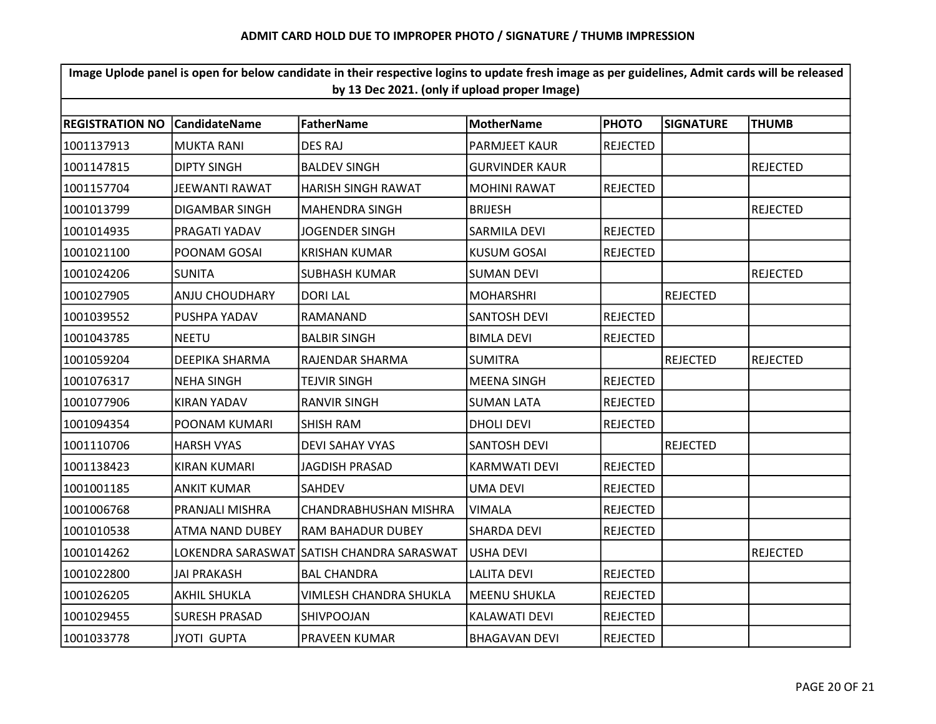| Image Uplode panel is open for below candidate in their respective logins to update fresh image as per guidelines, Admit cards will be released<br>by 13 Dec 2021. (only if upload proper Image) |                        |                           |                       |                 |                  |                 |  |  |
|--------------------------------------------------------------------------------------------------------------------------------------------------------------------------------------------------|------------------------|---------------------------|-----------------------|-----------------|------------------|-----------------|--|--|
|                                                                                                                                                                                                  |                        |                           |                       |                 |                  |                 |  |  |
| <b>REGISTRATION NO</b>                                                                                                                                                                           | <b>CandidateName</b>   | <b>FatherName</b>         | <b>MotherName</b>     | <b>PHOTO</b>    | <b>SIGNATURE</b> | <b>THUMB</b>    |  |  |
| 1001137913                                                                                                                                                                                       | <b>MUKTA RANI</b>      | <b>DES RAJ</b>            | <b>PARMJEET KAUR</b>  | <b>REJECTED</b> |                  |                 |  |  |
| 1001147815                                                                                                                                                                                       | <b>DIPTY SINGH</b>     | <b>BALDEV SINGH</b>       | <b>GURVINDER KAUR</b> |                 |                  | <b>REJECTED</b> |  |  |
| 1001157704                                                                                                                                                                                       | JEEWANTI RAWAT         | <b>HARISH SINGH RAWAT</b> | <b>MOHINI RAWAT</b>   | <b>REJECTED</b> |                  |                 |  |  |
| 1001013799                                                                                                                                                                                       | DIGAMBAR SINGH         | <b>MAHENDRA SINGH</b>     | <b>BRIJESH</b>        |                 |                  | <b>REJECTED</b> |  |  |
| 1001014935                                                                                                                                                                                       | PRAGATI YADAV          | JOGENDER SINGH            | SARMILA DEVI          | <b>REJECTED</b> |                  |                 |  |  |
| 1001021100                                                                                                                                                                                       | POONAM GOSAI           | <b>KRISHAN KUMAR</b>      | <b>KUSUM GOSAI</b>    | <b>REJECTED</b> |                  |                 |  |  |
| 1001024206                                                                                                                                                                                       | <b>SUNITA</b>          | <b>SUBHASH KUMAR</b>      | <b>SUMAN DEVI</b>     |                 |                  | <b>REJECTED</b> |  |  |
| 1001027905                                                                                                                                                                                       | <b>ANJU CHOUDHARY</b>  | <b>DORI LAL</b>           | <b>MOHARSHRI</b>      |                 | <b>REJECTED</b>  |                 |  |  |
| 1001039552                                                                                                                                                                                       | PUSHPA YADAV           | RAMANAND                  | <b>SANTOSH DEVI</b>   | <b>REJECTED</b> |                  |                 |  |  |
| 1001043785                                                                                                                                                                                       | <b>NEETU</b>           | <b>BALBIR SINGH</b>       | <b>BIMLA DEVI</b>     | <b>REJECTED</b> |                  |                 |  |  |
| 1001059204                                                                                                                                                                                       | DEEPIKA SHARMA         | RAJENDAR SHARMA           | <b>SUMITRA</b>        |                 | <b>REJECTED</b>  | <b>REJECTED</b> |  |  |
| 1001076317                                                                                                                                                                                       | <b>NEHA SINGH</b>      | <b>TEJVIR SINGH</b>       | <b>MEENA SINGH</b>    | <b>REJECTED</b> |                  |                 |  |  |
| 1001077906                                                                                                                                                                                       | <b>KIRAN YADAV</b>     | <b>RANVIR SINGH</b>       | <b>SUMAN LATA</b>     | <b>REJECTED</b> |                  |                 |  |  |
| 1001094354                                                                                                                                                                                       | POONAM KUMARI          | SHISH RAM                 | <b>DHOLI DEVI</b>     | <b>REJECTED</b> |                  |                 |  |  |
| 1001110706                                                                                                                                                                                       | <b>HARSH VYAS</b>      | <b>DEVI SAHAY VYAS</b>    | <b>SANTOSH DEVI</b>   |                 | <b>REJECTED</b>  |                 |  |  |
| 1001138423                                                                                                                                                                                       | <b>KIRAN KUMARI</b>    | <b>JAGDISH PRASAD</b>     | <b>KARMWATI DEVI</b>  | <b>REJECTED</b> |                  |                 |  |  |
| 1001001185                                                                                                                                                                                       | ANKIT KUMAR            | SAHDEV                    | <b>UMA DEVI</b>       | REJECTED        |                  |                 |  |  |
| 1001006768                                                                                                                                                                                       | PRANJALI MISHRA        | CHANDRABHUSHAN MISHRA     | <b>VIMALA</b>         | <b>REJECTED</b> |                  |                 |  |  |
| 1001010538                                                                                                                                                                                       | <b>ATMA NAND DUBEY</b> | RAM BAHADUR DUBEY         | <b>SHARDA DEVI</b>    | <b>REJECTED</b> |                  |                 |  |  |
| 1001014262                                                                                                                                                                                       | LOKENDRA SARASWAT      | SATISH CHANDRA SARASWAT   | <b>USHA DEVI</b>      |                 |                  | <b>REJECTED</b> |  |  |
| 1001022800                                                                                                                                                                                       | JAI PRAKASH            | <b>BAL CHANDRA</b>        | <b>LALITA DEVI</b>    | <b>REJECTED</b> |                  |                 |  |  |
| 1001026205                                                                                                                                                                                       | <b>AKHIL SHUKLA</b>    | VIMLESH CHANDRA SHUKLA    | <b>MEENU SHUKLA</b>   | <b>REJECTED</b> |                  |                 |  |  |
| 1001029455                                                                                                                                                                                       | <b>SURESH PRASAD</b>   | SHIVPOOJAN                | <b>KALAWATI DEVI</b>  | <b>REJECTED</b> |                  |                 |  |  |
| 1001033778                                                                                                                                                                                       | <b>JYOTI GUPTA</b>     | PRAVEEN KUMAR             | <b>BHAGAVAN DEVI</b>  | <b>REJECTED</b> |                  |                 |  |  |